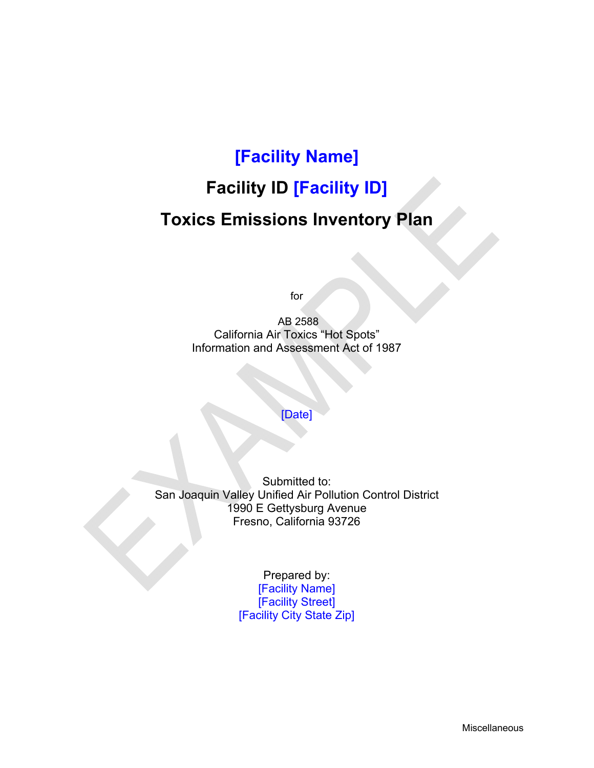# **[Facility Name]**

# **Facility ID [Facility ID]**

# **Toxics Emissions Inventory Plan**

for

 AB 2588 California Air Toxics "Hot Spots" Information and Assessment Act of 1987

#### [Date]

Submitted to: San Joaquin Valley Unified Air Pollution Control District 1990 E Gettysburg Avenue Fresno, California 93726

> Prepared by: [Facility Name] [Facility Street] [Facility City State Zip]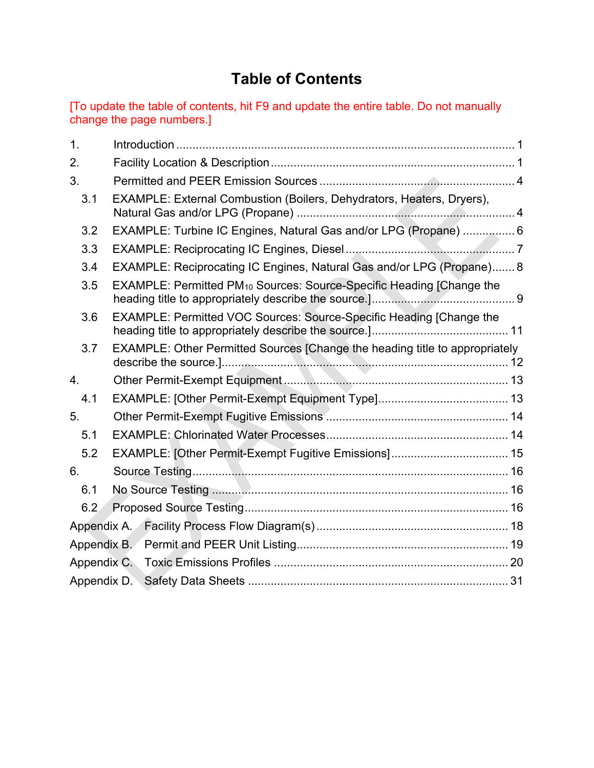# **Table of Contents**

[To update the table of contents, hit F9 and update the entire table. Do not manually change the page numbers.]

| EXAMPLE: External Combustion (Boilers, Dehydrators, Heaters, Dryers),            |                                                                                                                                                                                                                                                                                  |
|----------------------------------------------------------------------------------|----------------------------------------------------------------------------------------------------------------------------------------------------------------------------------------------------------------------------------------------------------------------------------|
|                                                                                  |                                                                                                                                                                                                                                                                                  |
|                                                                                  |                                                                                                                                                                                                                                                                                  |
|                                                                                  |                                                                                                                                                                                                                                                                                  |
| EXAMPLE: Permitted PM <sub>10</sub> Sources: Source-Specific Heading [Change the |                                                                                                                                                                                                                                                                                  |
| EXAMPLE: Permitted VOC Sources: Source-Specific Heading [Change the              |                                                                                                                                                                                                                                                                                  |
|                                                                                  |                                                                                                                                                                                                                                                                                  |
|                                                                                  |                                                                                                                                                                                                                                                                                  |
|                                                                                  |                                                                                                                                                                                                                                                                                  |
|                                                                                  |                                                                                                                                                                                                                                                                                  |
|                                                                                  |                                                                                                                                                                                                                                                                                  |
|                                                                                  |                                                                                                                                                                                                                                                                                  |
|                                                                                  |                                                                                                                                                                                                                                                                                  |
|                                                                                  |                                                                                                                                                                                                                                                                                  |
|                                                                                  |                                                                                                                                                                                                                                                                                  |
|                                                                                  |                                                                                                                                                                                                                                                                                  |
|                                                                                  |                                                                                                                                                                                                                                                                                  |
|                                                                                  |                                                                                                                                                                                                                                                                                  |
|                                                                                  |                                                                                                                                                                                                                                                                                  |
|                                                                                  | EXAMPLE: Turbine IC Engines, Natural Gas and/or LPG (Propane)  6<br>EXAMPLE: Reciprocating IC Engines, Natural Gas and/or LPG (Propane) 8<br>EXAMPLE: Other Permitted Sources [Change the heading title to appropriately<br>EXAMPLE: [Other Permit-Exempt Fugitive Emissions] 15 |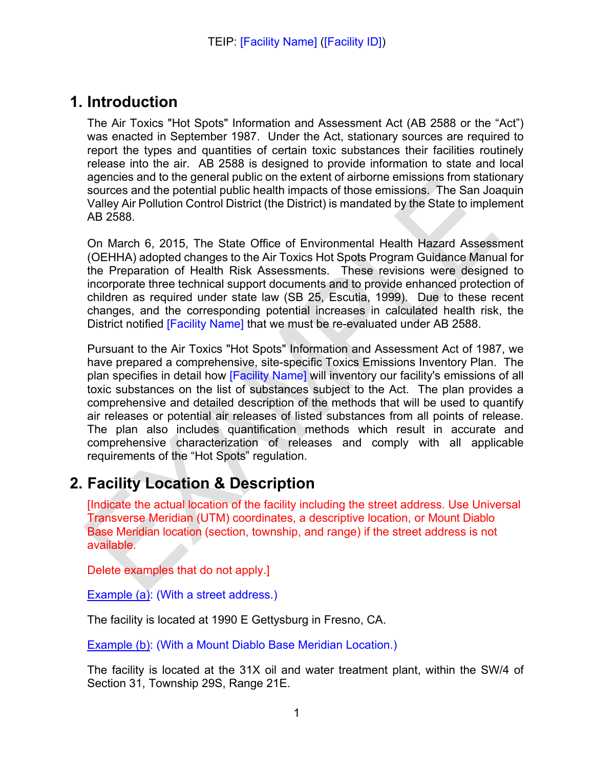## **1. Introduction**

The Air Toxics "Hot Spots" Information and Assessment Act (AB 2588 or the "Act") was enacted in September 1987. Under the Act, stationary sources are required to report the types and quantities of certain toxic substances their facilities routinely release into the air. AB 2588 is designed to provide information to state and local agencies and to the general public on the extent of airborne emissions from stationary sources and the potential public health impacts of those emissions. The San Joaquin Valley Air Pollution Control District (the District) is mandated by the State to implement AB 2588.

On March 6, 2015, The State Office of Environmental Health Hazard Assessment (OEHHA) adopted changes to the Air Toxics Hot Spots Program Guidance Manual for the Preparation of Health Risk Assessments. These revisions were designed to incorporate three technical support documents and to provide enhanced protection of children as required under state law (SB 25, Escutia, 1999). Due to these recent changes, and the corresponding potential increases in calculated health risk, the District notified [Facility Name] that we must be re-evaluated under AB 2588.

Pursuant to the Air Toxics "Hot Spots" Information and Assessment Act of 1987, we have prepared a comprehensive, site-specific Toxics Emissions Inventory Plan. The plan specifies in detail how [Facility Name] will inventory our facility's emissions of all toxic substances on the list of substances subject to the Act. The plan provides a comprehensive and detailed description of the methods that will be used to quantify air releases or potential air releases of listed substances from all points of release. The plan also includes quantification methods which result in accurate and comprehensive characterization of releases and comply with all applicable requirements of the "Hot Spots" regulation.

## **2. Facility Location & Description**

[Indicate the actual location of the facility including the street address. Use Universal Transverse Meridian (UTM) coordinates, a descriptive location, or Mount Diablo Base Meridian location (section, township, and range) if the street address is not available.

Delete examples that do not apply.]

**Example (a): (With a street address.)** 

The facility is located at 1990 E Gettysburg in Fresno, CA.

Example (b): (With a Mount Diablo Base Meridian Location.)

The facility is located at the 31X oil and water treatment plant, within the SW/4 of Section 31, Township 29S, Range 21E.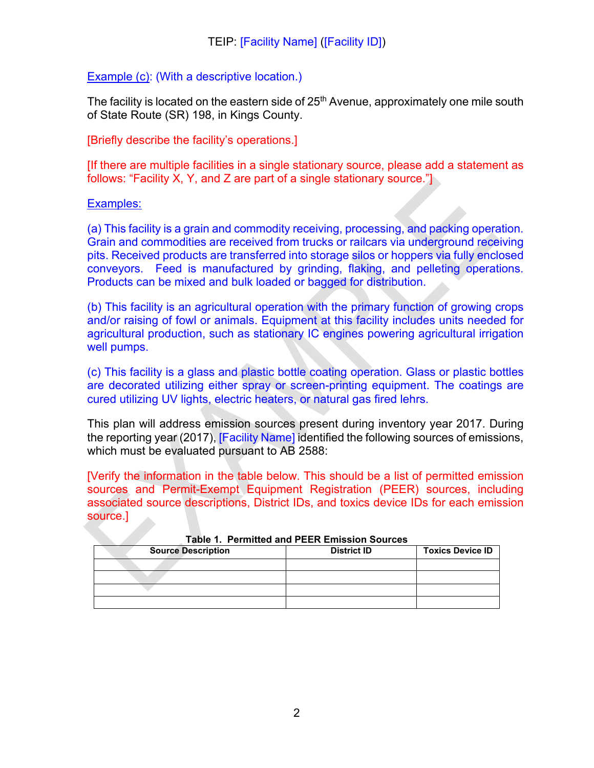#### Example (c): (With a descriptive location.)

The facility is located on the eastern side of  $25<sup>th</sup>$  Avenue, approximately one mile south of State Route (SR) 198, in Kings County.

#### [Briefly describe the facility's operations.]

[If there are multiple facilities in a single stationary source, please add a statement as follows: "Facility X, Y, and Z are part of a single stationary source."]

#### Examples:

(a) This facility is a grain and commodity receiving, processing, and packing operation. Grain and commodities are received from trucks or railcars via underground receiving pits. Received products are transferred into storage silos or hoppers via fully enclosed conveyors. Feed is manufactured by grinding, flaking, and pelleting operations. Products can be mixed and bulk loaded or bagged for distribution.

(b) This facility is an agricultural operation with the primary function of growing crops and/or raising of fowl or animals. Equipment at this facility includes units needed for agricultural production, such as stationary IC engines powering agricultural irrigation well pumps.

(c) This facility is a glass and plastic bottle coating operation. Glass or plastic bottles are decorated utilizing either spray or screen-printing equipment. The coatings are cured utilizing UV lights, electric heaters, or natural gas fired lehrs.

This plan will address emission sources present during inventory year 2017. During the reporting year (2017), [Facility Name] identified the following sources of emissions, which must be evaluated pursuant to AB 2588:

[Verify the information in the table below. This should be a list of permitted emission sources and Permit-Exempt Equipment Registration (PEER) sources, including associated source descriptions, District IDs, and toxics device IDs for each emission source.]

| <b>Source Description</b> | <b>District ID</b> | <b>Toxics Device ID</b> |
|---------------------------|--------------------|-------------------------|
|                           |                    |                         |
|                           |                    |                         |
|                           |                    |                         |
|                           |                    |                         |

#### **Table 1. Permitted and PEER Emission Sources**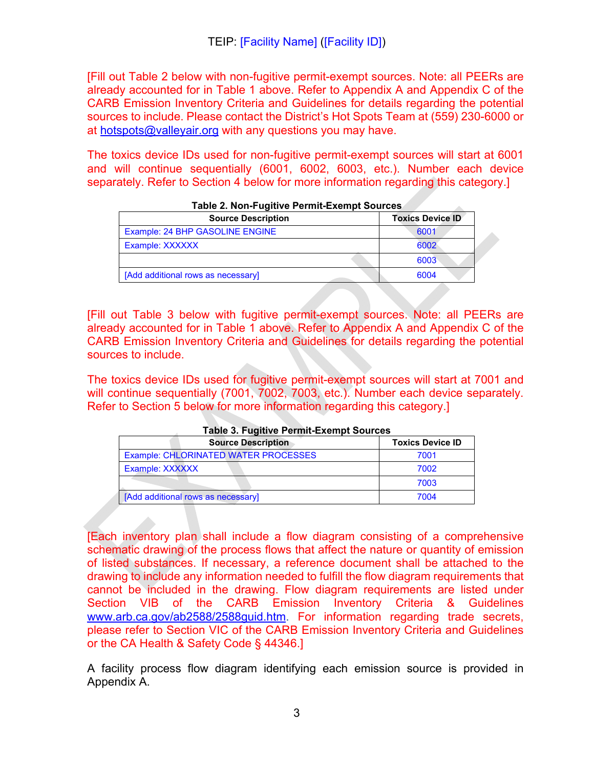[Fill out Table 2 below with non-fugitive permit-exempt sources. Note: all PEERs are already accounted for in Table 1 above. Refer to Appendix A and Appendix C of the CARB Emission Inventory Criteria and Guidelines for details regarding the potential sources to include. Please contact the District's Hot Spots Team at (559) 230-6000 or at hotspots@valleyair.org with any questions you may have.

The toxics device IDs used for non-fugitive permit-exempt sources will start at 6001 and will continue sequentially (6001, 6002, 6003, etc.). Number each device separately. Refer to Section 4 below for more information regarding this category.]

| <b>Source Description</b>          | <b>Toxics Device ID</b> |
|------------------------------------|-------------------------|
| Example: 24 BHP GASOLINE ENGINE    | 6001                    |
| Example: XXXXXX                    | 6002                    |
|                                    | 6003                    |
| [Add additional rows as necessary] | 6004                    |

|  |  | Table 2. Non-Fugitive Permit-Exempt Sources |  |  |
|--|--|---------------------------------------------|--|--|
|--|--|---------------------------------------------|--|--|

[Fill out Table 3 below with fugitive permit-exempt sources. Note: all PEERs are already accounted for in Table 1 above. Refer to Appendix A and Appendix C of the CARB Emission Inventory Criteria and Guidelines for details regarding the potential sources to include.

The toxics device IDs used for fugitive permit-exempt sources will start at 7001 and will continue sequentially (7001, 7002, 7003, etc.). Number each device separately. Refer to Section 5 below for more information regarding this category.]

| $1.4810$ V. T agreever the centre and the equations |                         |  |
|-----------------------------------------------------|-------------------------|--|
| <b>Source Description</b>                           | <b>Toxics Device ID</b> |  |
| Example: CHLORINATED WATER PROCESSES                | 7001                    |  |
| Example: XXXXXX                                     | 7002                    |  |
|                                                     | 7003                    |  |
| [Add additional rows as necessary]                  | 7004                    |  |

**Table 3. Fugitive Permit-Exempt Sources** 

[Each inventory plan shall include a flow diagram consisting of a comprehensive schematic drawing of the process flows that affect the nature or quantity of emission of listed substances. If necessary, a reference document shall be attached to the drawing to include any information needed to fulfill the flow diagram requirements that cannot be included in the drawing. Flow diagram requirements are listed under Section VIB of the CARB Emission Inventory Criteria & Guidelines www.arb.ca.gov/ab2588/2588guid.htm. For information regarding trade secrets, please refer to Section VIC of the CARB Emission Inventory Criteria and Guidelines or the CA Health & Safety Code § 44346.]

A facility process flow diagram identifying each emission source is provided in Appendix A.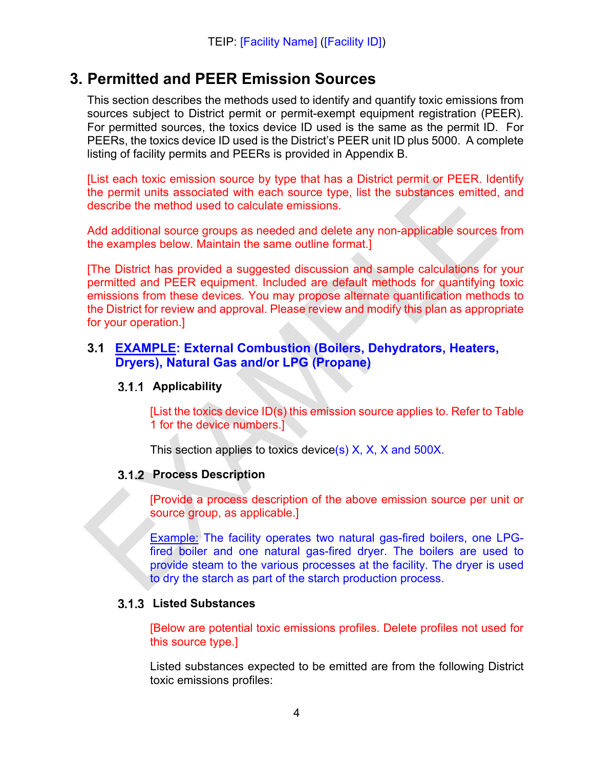### **3. Permitted and PEER Emission Sources**

This section describes the methods used to identify and quantify toxic emissions from sources subject to District permit or permit-exempt equipment registration (PEER). For permitted sources, the toxics device ID used is the same as the permit ID. For PEERs, the toxics device ID used is the District's PEER unit ID plus 5000. A complete listing of facility permits and PEERs is provided in Appendix B.

[List each toxic emission source by type that has a District permit or PEER. Identify the permit units associated with each source type, list the substances emitted, and describe the method used to calculate emissions.

Add additional source groups as needed and delete any non-applicable sources from the examples below. Maintain the same outline format.]

[The District has provided a suggested discussion and sample calculations for your permitted and PEER equipment. Included are default methods for quantifying toxic emissions from these devices. You may propose alternate quantification methods to the District for review and approval. Please review and modify this plan as appropriate for your operation.]

#### **3.1 EXAMPLE: External Combustion (Boilers, Dehydrators, Heaters, Dryers), Natural Gas and/or LPG (Propane)**

#### **Applicability**

[List the toxics device ID(s) this emission source applies to. Refer to Table 1 for the device numbers.]

This section applies to toxics device(s) X, X, X and 500X.

#### **3.1.2 Process Description**

[Provide a process description of the above emission source per unit or source group, as applicable.]

Example: The facility operates two natural gas-fired boilers, one LPGfired boiler and one natural gas-fired dryer. The boilers are used to provide steam to the various processes at the facility. The dryer is used to dry the starch as part of the starch production process.

#### **Listed Substances**

[Below are potential toxic emissions profiles. Delete profiles not used for this source type.]

Listed substances expected to be emitted are from the following District toxic emissions profiles: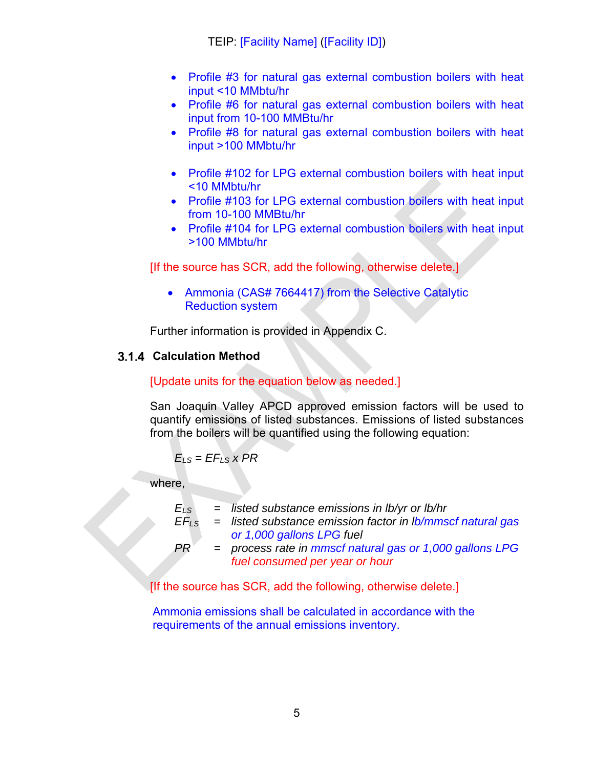- Profile #3 for natural gas external combustion boilers with heat input <10 MMbtu/hr
- Profile #6 for natural gas external combustion boilers with heat input from 10-100 MMBtu/hr
- Profile #8 for natural gas external combustion boilers with heat input >100 MMbtu/hr
- Profile #102 for LPG external combustion boilers with heat input <10 MMbtu/hr
- Profile #103 for LPG external combustion boilers with heat input from 10-100 MMBtu/hr
- Profile #104 for LPG external combustion boilers with heat input >100 MMbtu/hr

[If the source has SCR, add the following, otherwise delete.]

• Ammonia (CAS# 7664417) from the Selective Catalytic Reduction system

Further information is provided in Appendix C.

#### **Calculation Method**

#### [Update units for the equation below as needed.]

San Joaquin Valley APCD approved emission factors will be used to quantify emissions of listed substances. Emissions of listed substances from the boilers will be quantified using the following equation:

$$
E_{LS} = EF_{LS} \times PR
$$

where,

*ELS = listed substance emissions in lb/yr or lb/hr*

- *EFLS = listed substance emission factor in lb/mmscf natural gas or 1,000 gallons LPG fuel*
- *PR = process rate in mmscf natural gas or 1,000 gallons LPG fuel consumed per year or hour*

[If the source has SCR, add the following, otherwise delete.]

Ammonia emissions shall be calculated in accordance with the requirements of the annual emissions inventory.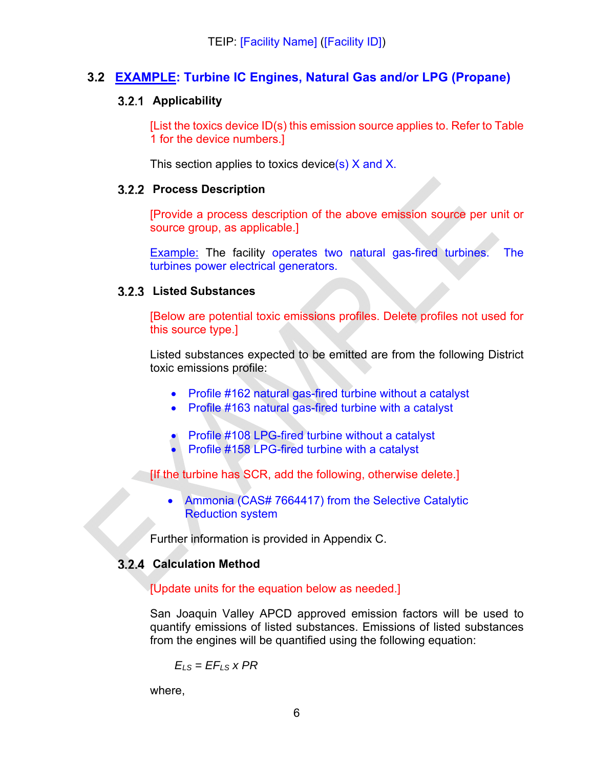#### **3.2 EXAMPLE: Turbine IC Engines, Natural Gas and/or LPG (Propane)**

#### **Applicability**

[List the toxics device ID(s) this emission source applies to. Refer to Table 1 for the device numbers.]

This section applies to toxics device(s) X and X.

#### **3.2.2 Process Description**

[Provide a process description of the above emission source per unit or source group, as applicable.]

Example: The facility operates two natural gas-fired turbines. The turbines power electrical generators.

#### **Listed Substances**

[Below are potential toxic emissions profiles. Delete profiles not used for this source type.]

Listed substances expected to be emitted are from the following District toxic emissions profile:

- Profile #162 natural gas-fired turbine without a catalyst
- Profile #163 natural gas-fired turbine with a catalyst
- Profile #108 LPG-fired turbine without a catalyst
- Profile #158 LPG-fired turbine with a catalyst

[If the turbine has SCR, add the following, otherwise delete.]

• Ammonia (CAS# 7664417) from the Selective Catalytic Reduction system

Further information is provided in Appendix C.

#### **Calculation Method**

#### [Update units for the equation below as needed.]

San Joaquin Valley APCD approved emission factors will be used to quantify emissions of listed substances. Emissions of listed substances from the engines will be quantified using the following equation:

$$
E_{LS} = EF_{LS} \times PR
$$

where,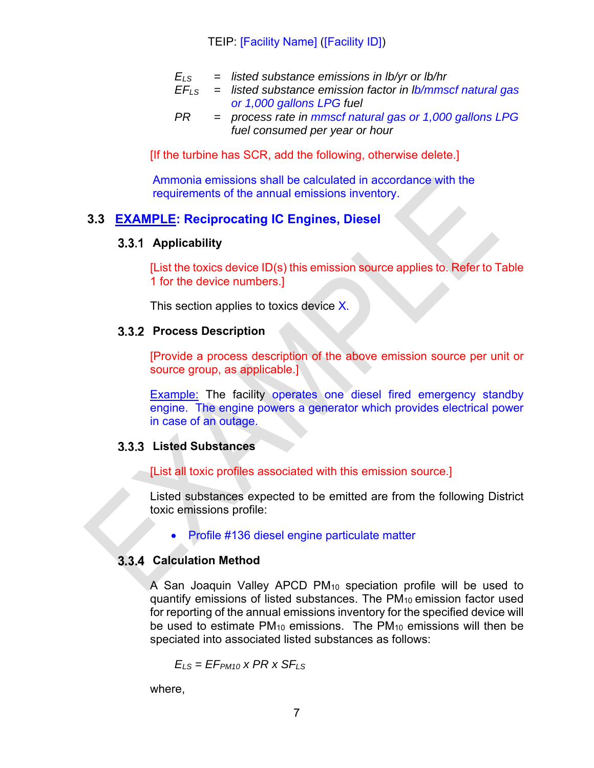$$
E_{LS}
$$
 = listed substance emissions in lb/yr or lb/hr

- *EFLS = listed substance emission factor in lb/mmscf natural gas or 1,000 gallons LPG fuel*
- *PR = process rate in mmscf natural gas or 1,000 gallons LPG fuel consumed per year or hour*

[If the turbine has SCR, add the following, otherwise delete.]

Ammonia emissions shall be calculated in accordance with the requirements of the annual emissions inventory.

#### **3.3 EXAMPLE: Reciprocating IC Engines, Diesel**

#### **Applicability**

[List the toxics device ID(s) this emission source applies to. Refer to Table 1 for the device numbers.]

This section applies to toxics device X.

#### **3.3.2 Process Description**

[Provide a process description of the above emission source per unit or source group, as applicable.]

**Example:** The facility operates one diesel fired emergency standby engine. The engine powers a generator which provides electrical power in case of an outage.

#### **Listed Substances**

[List all toxic profiles associated with this emission source.]

Listed substances expected to be emitted are from the following District toxic emissions profile:

• Profile #136 diesel engine particulate matter

#### **Calculation Method**

A San Joaquin Valley APCD PM10 speciation profile will be used to quantify emissions of listed substances. The  $PM_{10}$  emission factor used for reporting of the annual emissions inventory for the specified device will be used to estimate  $PM_{10}$  emissions. The  $PM_{10}$  emissions will then be speciated into associated listed substances as follows:

 $E_{IS} = EF_{P M10} \times PR \times SF_{LS}$ 

where,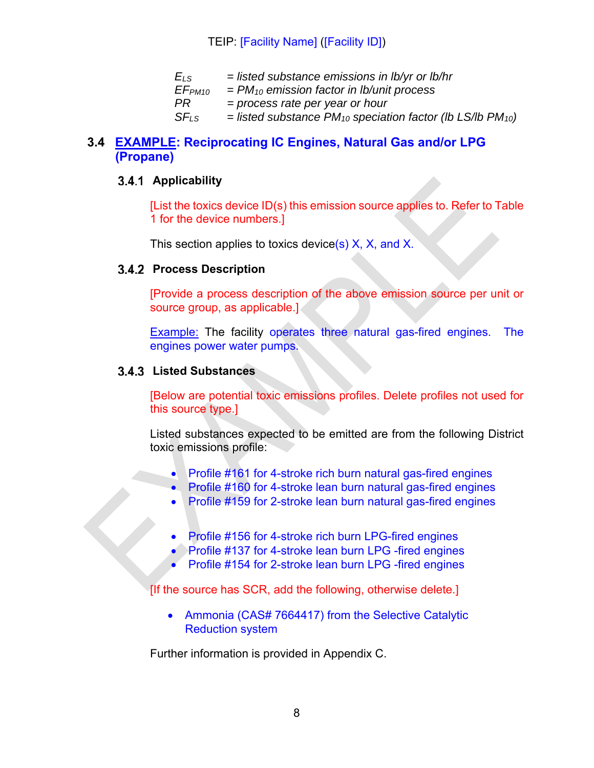| $E_{LS}$           | $=$ listed substance emissions in lb/yr or lb/hr                     |
|--------------------|----------------------------------------------------------------------|
| EF <sub>PM10</sub> | $=$ PM <sub>10</sub> emission factor in Ib/unit process              |
| PR.                | $=$ process rate per year or hour                                    |
| $SF_{IS}$          | = listed substance $PM_{10}$ speciation factor (lb LS/lb $PM_{10}$ ) |
|                    |                                                                      |

#### **3.4 EXAMPLE: Reciprocating IC Engines, Natural Gas and/or LPG (Propane)**

#### **Applicability**

[List the toxics device ID(s) this emission source applies to. Refer to Table 1 for the device numbers.]

This section applies to toxics device(s)  $X$ ,  $X$ , and  $X$ .

#### **3.4.2 Process Description**

[Provide a process description of the above emission source per unit or source group, as applicable.]

Example: The facility operates three natural gas-fired engines. The engines power water pumps.

#### **Listed Substances**

[Below are potential toxic emissions profiles. Delete profiles not used for this source type.]

Listed substances expected to be emitted are from the following District toxic emissions profile:

- Profile #161 for 4-stroke rich burn natural gas-fired engines
- Profile #160 for 4-stroke lean burn natural gas-fired engines
- Profile #159 for 2-stroke lean burn natural gas-fired engines
- Profile #156 for 4-stroke rich burn LPG-fired engines
- Profile #137 for 4-stroke lean burn LPG -fired engines
- Profile #154 for 2-stroke lean burn LPG -fired engines

[If the source has SCR, add the following, otherwise delete.]

• Ammonia (CAS# 7664417) from the Selective Catalytic Reduction system

Further information is provided in Appendix C.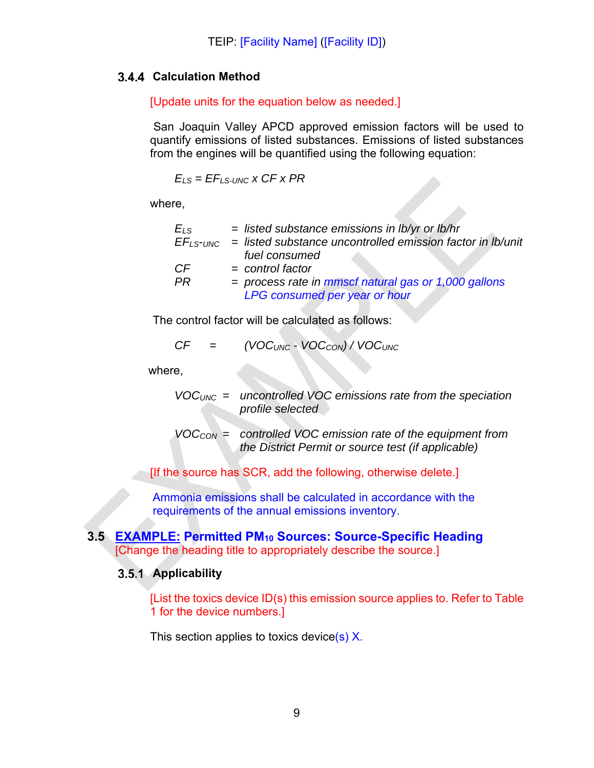#### **Calculation Method**

#### [Update units for the equation below as needed.]

San Joaquin Valley APCD approved emission factors will be used to quantify emissions of listed substances. Emissions of listed substances from the engines will be quantified using the following equation:

 $E_{LS} = EF_{LS-UNC} \times CF \times PR$ 

where,

| $E_{LS}$  | $=$ listed substance emissions in $lb/yr$ or $lb/hr$                     |
|-----------|--------------------------------------------------------------------------|
|           | $EF_{LS-UNC}$ = listed substance uncontrolled emission factor in Ib/unit |
|           | fuel consumed                                                            |
| <b>CF</b> | $=$ control factor                                                       |
| <b>PR</b> | $=$ process rate in mmscf natural gas or 1,000 gallons                   |
|           | LPG consumed per year or hour                                            |

The control factor will be calculated as follows:

$$
CF = (VOC_{UNC} - VOC_{CON}) / VOC_{UNC}
$$

where,

- *VOCUNC = uncontrolled VOC emissions rate from the speciation profile selected*
- *VOCCON = controlled VOC emission rate of the equipment from the District Permit or source test (if applicable)*
- [If the source has SCR, add the following, otherwise delete.]

Ammonia emissions shall be calculated in accordance with the requirements of the annual emissions inventory.

#### **3.5 EXAMPLE: Permitted PM10 Sources: Source-Specific Heading**  [Change the heading title to appropriately describe the source.]

#### **Applicability**

[List the toxics device ID(s) this emission source applies to. Refer to Table 1 for the device numbers.]

This section applies to toxics device(s) X.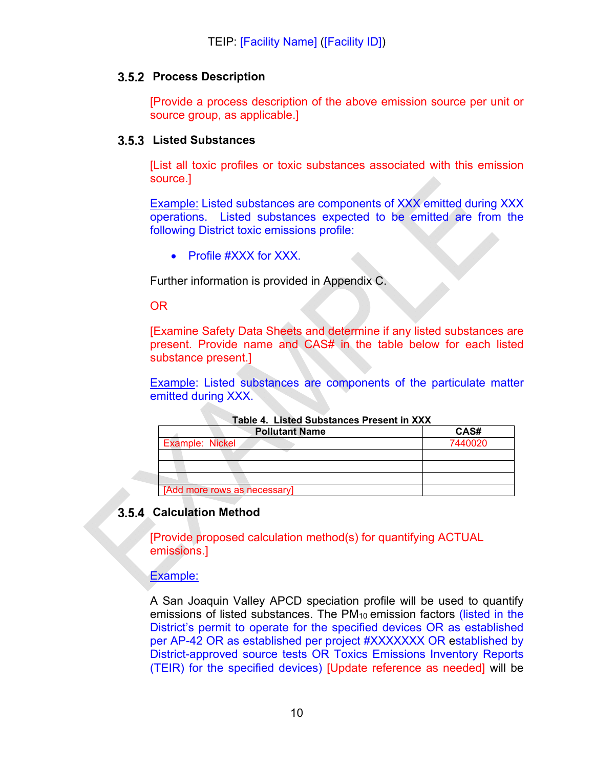#### **3.5.2 Process Description**

[Provide a process description of the above emission source per unit or source group, as applicable.]

#### **Listed Substances**

[List all toxic profiles or toxic substances associated with this emission source.]

Example: Listed substances are components of XXX emitted during XXX operations. Listed substances expected to be emitted are from the following District toxic emissions profile:

• Profile #XXX for XXX.

Further information is provided in Appendix C.

OR

[Examine Safety Data Sheets and determine if any listed substances are present. Provide name and CAS# in the table below for each listed substance present.]

Example: Listed substances are components of the particulate matter emitted during XXX.

| $1$ wwiy ti biyuyu yunyuunyyy 1 1999 ili 7997 |         |  |
|-----------------------------------------------|---------|--|
| <b>Pollutant Name</b>                         | CAS#    |  |
| <b>Example: Nickel</b>                        | 7440020 |  |
|                                               |         |  |
|                                               |         |  |
|                                               |         |  |
| [Add more rows as necessary]                  |         |  |

**Table 4. Listed Substances Present in XXX** 

#### **3.5.4 Calculation Method**

[Provide proposed calculation method(s) for quantifying ACTUAL emissions.]

Example:

A San Joaquin Valley APCD speciation profile will be used to quantify emissions of listed substances. The PM<sub>10</sub> emission factors (listed in the District's permit to operate for the specified devices OR as established per AP-42 OR as established per project #XXXXXXX OR established by District-approved source tests OR Toxics Emissions Inventory Reports (TEIR) for the specified devices) [Update reference as needed] will be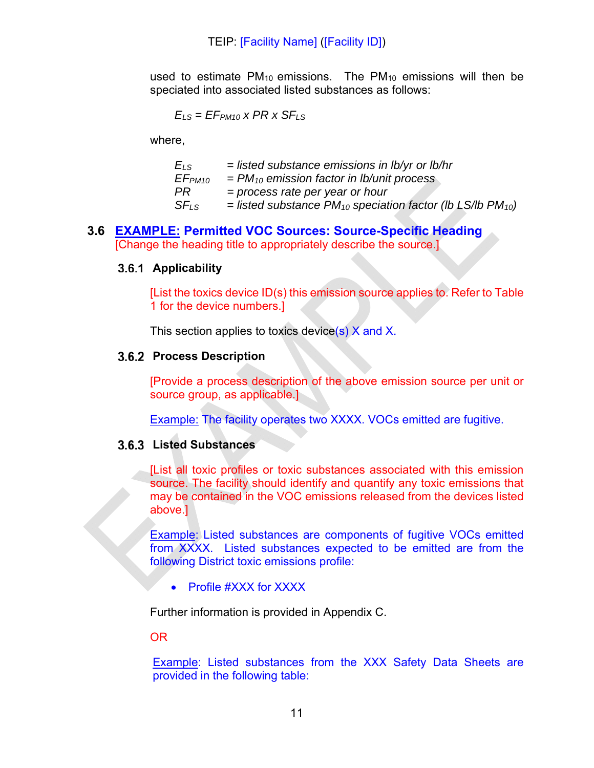used to estimate PM<sub>10</sub> emissions. The PM<sub>10</sub> emissions will then be speciated into associated listed substances as follows:

$$
E_{LS} = EF_{PM10} \times PR \times SF_{LS}
$$

where,

| $=$ listed substance emissions in lb/yr or lb/hr                                     |
|--------------------------------------------------------------------------------------|
| $=$ PM <sub>10</sub> emission factor in Ib/unit process                              |
| $=$ process rate per year or hour                                                    |
| $=$ listed substance PM <sub>10</sub> speciation factor (lb LS/lb PM <sub>10</sub> ) |
|                                                                                      |

#### **3.6 EXAMPLE: Permitted VOC Sources: Source-Specific Heading** [Change the heading title to appropriately describe the source.]

#### **Applicability**

[List the toxics device ID(s) this emission source applies to. Refer to Table 1 for the device numbers.]

This section applies to toxics device(s) X and X.

#### **3.6.2 Process Description**

[Provide a process description of the above emission source per unit or source group, as applicable.]

Example: The facility operates two XXXX. VOCs emitted are fugitive.

#### **Listed Substances**

[List all toxic profiles or toxic substances associated with this emission source. The facility should identify and quantify any toxic emissions that may be contained in the VOC emissions released from the devices listed above.]

Example: Listed substances are components of fugitive VOCs emitted from XXXX. Listed substances expected to be emitted are from the following District toxic emissions profile:

• Profile #XXX for XXXX

Further information is provided in Appendix C.

#### OR

Example: Listed substances from the XXX Safety Data Sheets are provided in the following table: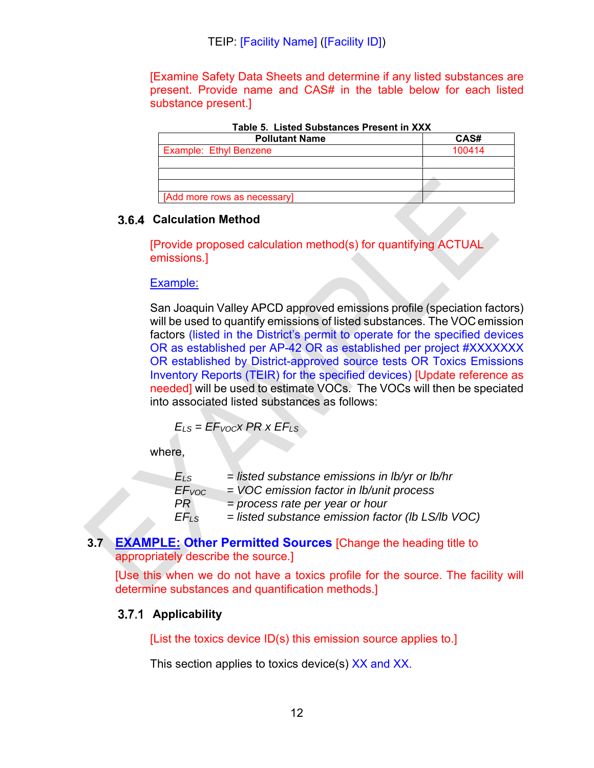[Examine Safety Data Sheets and determine if any listed substances are present. Provide name and CAS# in the table below for each listed substance present.]

| $19000$ . Eigled Gadglatioco i Tegent III AVV. |        |  |  |
|------------------------------------------------|--------|--|--|
| <b>Pollutant Name</b>                          | CAS#   |  |  |
| <b>Example: Ethyl Benzene</b>                  | 100414 |  |  |
|                                                |        |  |  |
|                                                |        |  |  |
|                                                |        |  |  |
| [Add more rows as necessary]                   |        |  |  |

**Table 5. Listed Substances Present in XXX** 

#### **Calculation Method**

[Provide proposed calculation method(s) for quantifying ACTUAL emissions.]

#### Example:

San Joaquin Valley APCD approved emissions profile (speciation factors) will be used to quantify emissions of listed substances. The VOC emission factors (listed in the District's permit to operate for the specified devices OR as established per AP-42 OR as established per project #XXXXXXX OR established by District-approved source tests OR Toxics Emissions Inventory Reports (TEIR) for the specified devices) [Update reference as needed] will be used to estimate VOCs. The VOCs will then be speciated into associated listed substances as follows:

*ELS = EFVOCx PR x EFLS*

where,

| $E_{LS}$          | $=$ listed substance emissions in Ib/yr or Ib/hr    |
|-------------------|-----------------------------------------------------|
| EF <sub>VOC</sub> | $=$ VOC emission factor in Ib/unit process          |
| PR                | $=$ process rate per year or hour                   |
| $E_{\text{LSS}}$  | $=$ listed substance emission factor (lb LS/lb VOC) |

#### **3.7 EXAMPLE: Other Permitted Sources** [Change the heading title to appropriately describe the source.]

[Use this when we do not have a toxics profile for the source. The facility will determine substances and quantification methods.]

#### **Applicability**

[List the toxics device ID(s) this emission source applies to.]

This section applies to toxics device(s) XX and XX.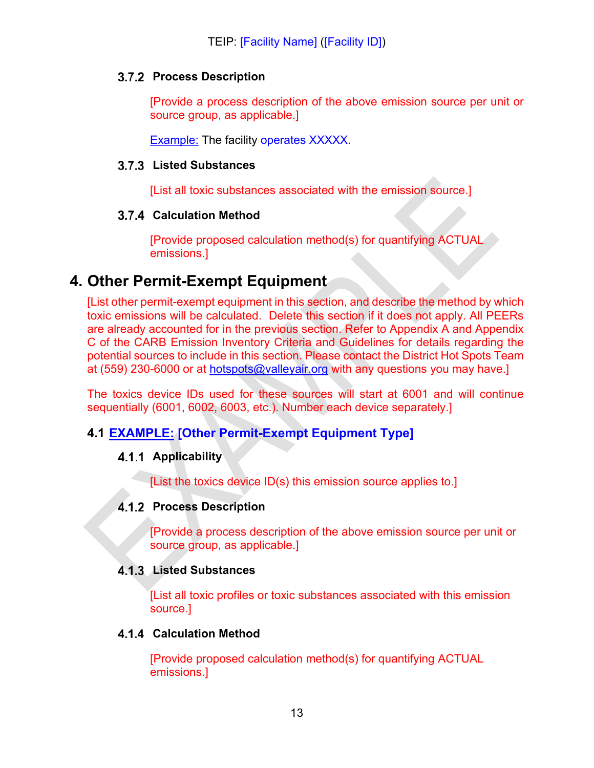#### **3.7.2 Process Description**

[Provide a process description of the above emission source per unit or source group, as applicable.]

Example: The facility operates XXXXX.

#### **Listed Substances**

[List all toxic substances associated with the emission source.]

#### **Calculation Method**

[Provide proposed calculation method(s) for quantifying ACTUAL emissions.]

### **4. Other Permit-Exempt Equipment**

[List other permit-exempt equipment in this section, and describe the method by which toxic emissions will be calculated. Delete this section if it does not apply. All PEERs are already accounted for in the previous section. Refer to Appendix A and Appendix C of the CARB Emission Inventory Criteria and Guidelines for details regarding the potential sources to include in this section. Please contact the District Hot Spots Team at (559) 230-6000 or at hotspots@valleyair.org with any questions you may have.]

The toxics device IDs used for these sources will start at 6001 and will continue sequentially (6001, 6002, 6003, etc.). Number each device separately.]

#### **4.1 EXAMPLE: [Other Permit-Exempt Equipment Type]**

#### **Applicability**

[List the toxics device ID(s) this emission source applies to.]

#### **4.1.2 Process Description**

[Provide a process description of the above emission source per unit or source group, as applicable.]

#### **Listed Substances**

[List all toxic profiles or toxic substances associated with this emission source.]

#### **Calculation Method**

[Provide proposed calculation method(s) for quantifying ACTUAL emissions.]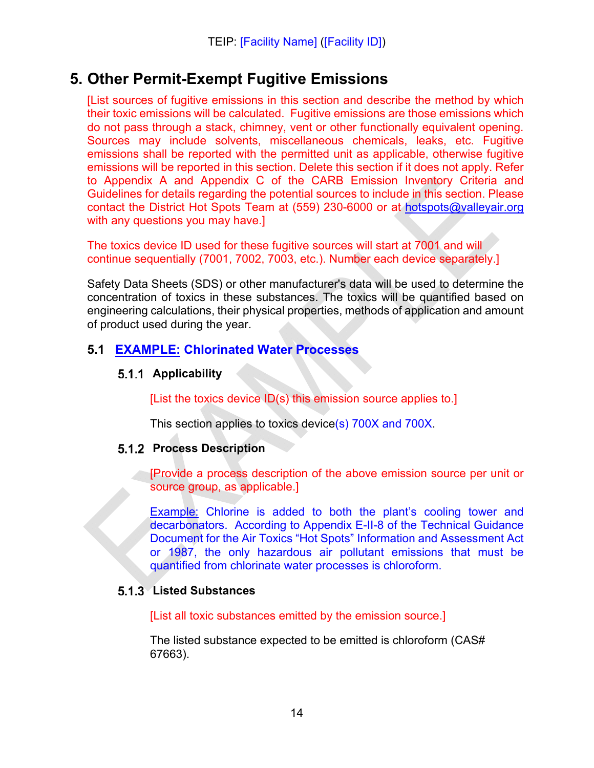### **5. Other Permit-Exempt Fugitive Emissions**

[List sources of fugitive emissions in this section and describe the method by which their toxic emissions will be calculated. Fugitive emissions are those emissions which do not pass through a stack, chimney, vent or other functionally equivalent opening. Sources may include solvents, miscellaneous chemicals, leaks, etc. Fugitive emissions shall be reported with the permitted unit as applicable, otherwise fugitive emissions will be reported in this section. Delete this section if it does not apply. Refer to Appendix A and Appendix C of the CARB Emission Inventory Criteria and Guidelines for details regarding the potential sources to include in this section. Please contact the District Hot Spots Team at (559) 230-6000 or at hotspots@valleyair.org with any questions you may have.]

The toxics device ID used for these fugitive sources will start at 7001 and will continue sequentially (7001, 7002, 7003, etc.). Number each device separately.]

Safety Data Sheets (SDS) or other manufacturer's data will be used to determine the concentration of toxics in these substances. The toxics will be quantified based on engineering calculations, their physical properties, methods of application and amount of product used during the year.

#### **5.1 EXAMPLE: Chlorinated Water Processes**

#### **Applicability**

[List the toxics device ID(s) this emission source applies to.]

This section applies to toxics device(s) 700X and 700X.

#### **5.1.2 Process Description**

[Provide a process description of the above emission source per unit or source group, as applicable.]

Example: Chlorine is added to both the plant's cooling tower and decarbonators. According to Appendix E-II-8 of the Technical Guidance Document for the Air Toxics "Hot Spots" Information and Assessment Act or 1987, the only hazardous air pollutant emissions that must be quantified from chlorinate water processes is chloroform.

#### **Listed Substances**

[List all toxic substances emitted by the emission source.]

The listed substance expected to be emitted is chloroform (CAS# 67663).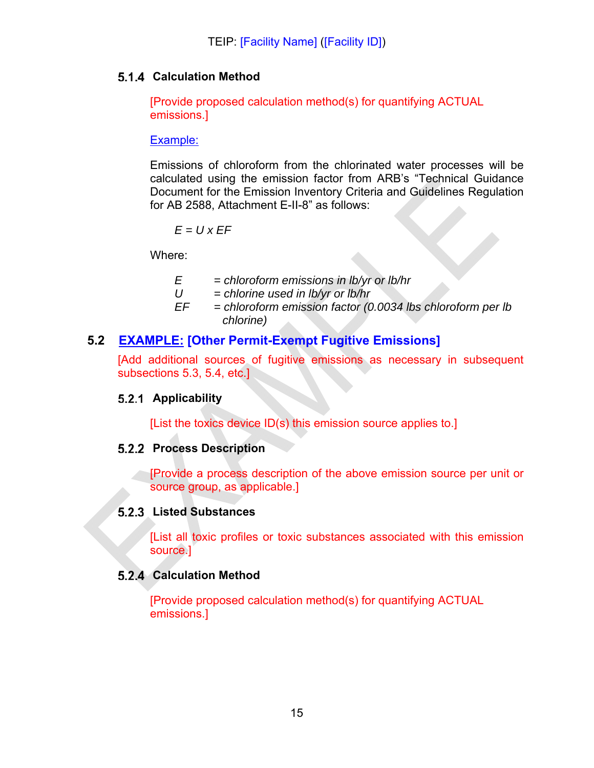#### **Calculation Method**

[Provide proposed calculation method(s) for quantifying ACTUAL emissions.]

#### Example:

Emissions of chloroform from the chlorinated water processes will be calculated using the emission factor from ARB's "Technical Guidance Document for the Emission Inventory Criteria and Guidelines Regulation for AB 2588, Attachment E-II-8" as follows:

$$
E = U \times EF
$$

Where:

- *E = chloroform emissions in lb/yr or lb/hr*
- *U = chlorine used in lb/yr or lb/hr*
- *EF = chloroform emission factor (0.0034 lbs chloroform per lb chlorine)*

#### **5.2 EXAMPLE: [Other Permit-Exempt Fugitive Emissions]**

[Add additional sources of fugitive emissions as necessary in subsequent subsections 5.3, 5.4, etc.]

#### **Applicability**

[List the toxics device ID(s) this emission source applies to.]

#### **5.2.2 Process Description**

[Provide a process description of the above emission source per unit or source group, as applicable.]

#### **Listed Substances**

[List all toxic profiles or toxic substances associated with this emission source.]

#### **Calculation Method**

[Provide proposed calculation method(s) for quantifying ACTUAL emissions.]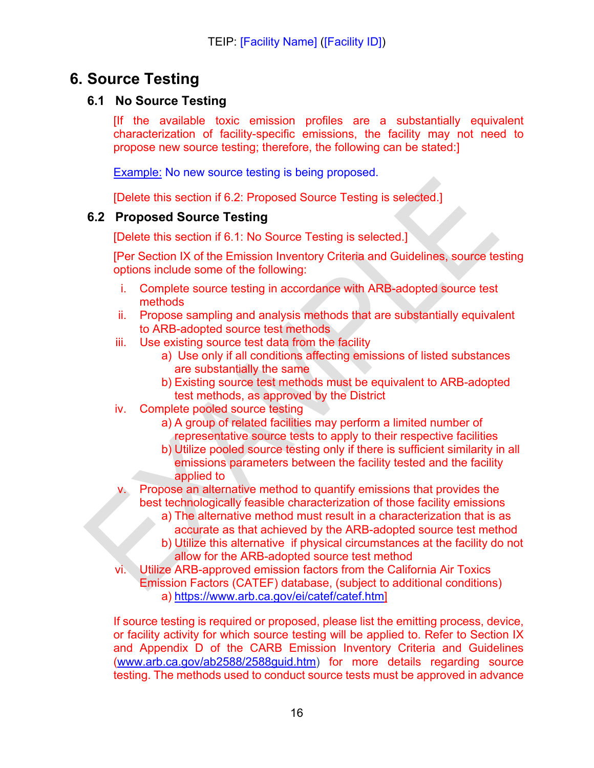## **6. Source Testing**

#### **6.1 No Source Testing**

[If the available toxic emission profiles are a substantially equivalent characterization of facility-specific emissions, the facility may not need to propose new source testing; therefore, the following can be stated:]

Example: No new source testing is being proposed.

[Delete this section if 6.2: Proposed Source Testing is selected.]

#### **6.2 Proposed Source Testing**

[Delete this section if 6.1: No Source Testing is selected.]

[Per Section IX of the Emission Inventory Criteria and Guidelines, source testing options include some of the following:

- i. Complete source testing in accordance with ARB-adopted source test methods
- ii. Propose sampling and analysis methods that are substantially equivalent to ARB-adopted source test methods
- iii. Use existing source test data from the facility
	- a) Use only if all conditions affecting emissions of listed substances are substantially the same
	- b) Existing source test methods must be equivalent to ARB-adopted test methods, as approved by the District
- iv. Complete pooled source testing
	- a) A group of related facilities may perform a limited number of representative source tests to apply to their respective facilities
	- b) Utilize pooled source testing only if there is sufficient similarity in all emissions parameters between the facility tested and the facility applied to
- v. Propose an alternative method to quantify emissions that provides the best technologically feasible characterization of those facility emissions
	- a) The alternative method must result in a characterization that is as accurate as that achieved by the ARB-adopted source test method
	- b) Utilize this alternative if physical circumstances at the facility do not allow for the ARB-adopted source test method
- vi. Utilize ARB-approved emission factors from the California Air Toxics Emission Factors (CATEF) database, (subject to additional conditions) a) https://www.arb.ca.gov/ei/catef/catef.htm]

If source testing is required or proposed, please list the emitting process, device, or facility activity for which source testing will be applied to. Refer to Section IX and Appendix D of the CARB Emission Inventory Criteria and Guidelines (www.arb.ca.gov/ab2588/2588guid.htm) for more details regarding source testing. The methods used to conduct source tests must be approved in advance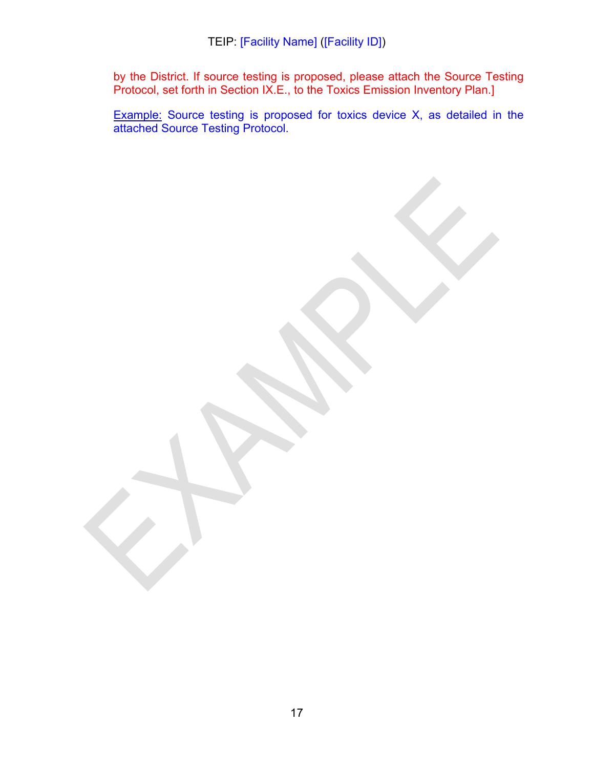by the District. If source testing is proposed, please attach the Source Testing Protocol, set forth in Section IX.E., to the Toxics Emission Inventory Plan.]

**Example:** Source testing is proposed for toxics device X, as detailed in the attached Source Testing Protocol.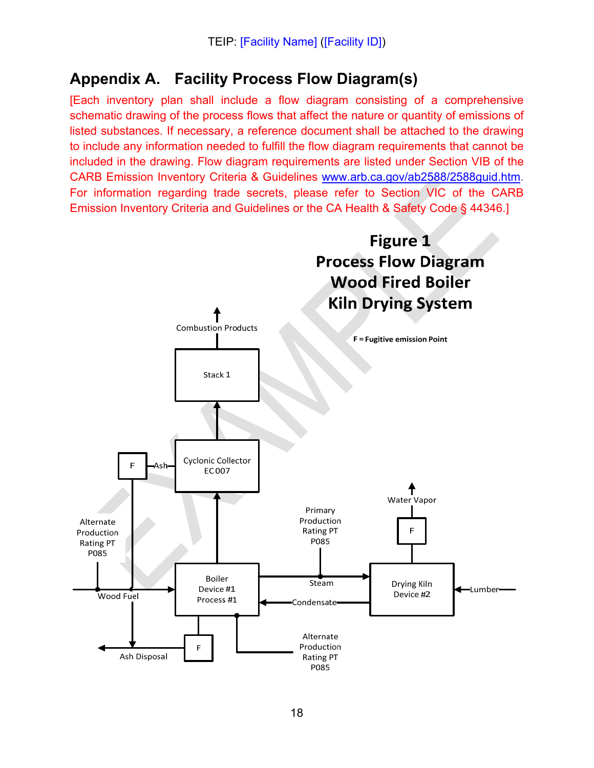# **Appendix A. Facility Process Flow Diagram(s)**

[Each inventory plan shall include a flow diagram consisting of a comprehensive schematic drawing of the process flows that affect the nature or quantity of emissions of listed substances. If necessary, a reference document shall be attached to the drawing to include any information needed to fulfill the flow diagram requirements that cannot be included in the drawing. Flow diagram requirements are listed under Section VIB of the CARB Emission Inventory Criteria & Guidelines www.arb.ca.gov/ab2588/2588guid.htm. For information regarding trade secrets, please refer to Section VIC of the CARB Emission Inventory Criteria and Guidelines or the CA Health & Safety Code § 44346.]

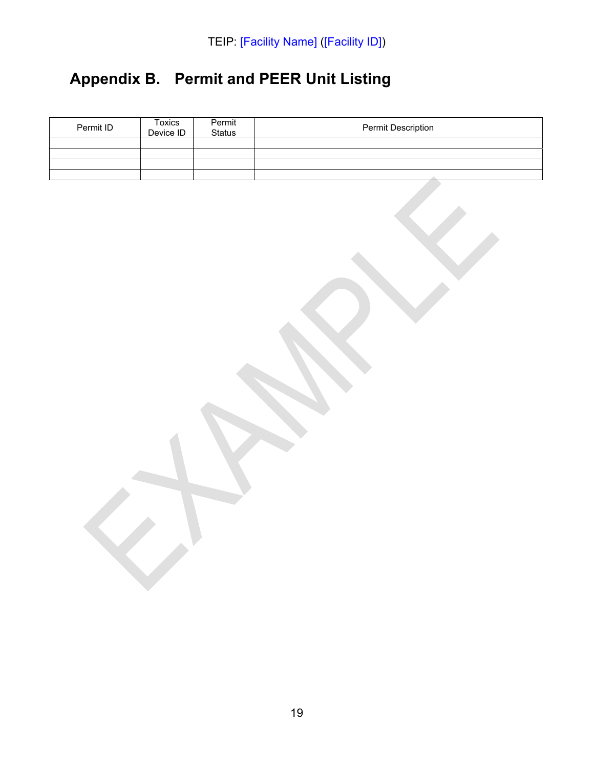# **Appendix B. Permit and PEER Unit Listing**

| Permit ID | Toxics<br>Device ID | Permit<br>Status | Permit Description |
|-----------|---------------------|------------------|--------------------|
|           |                     |                  |                    |
|           |                     |                  |                    |
|           |                     |                  |                    |
|           |                     |                  |                    |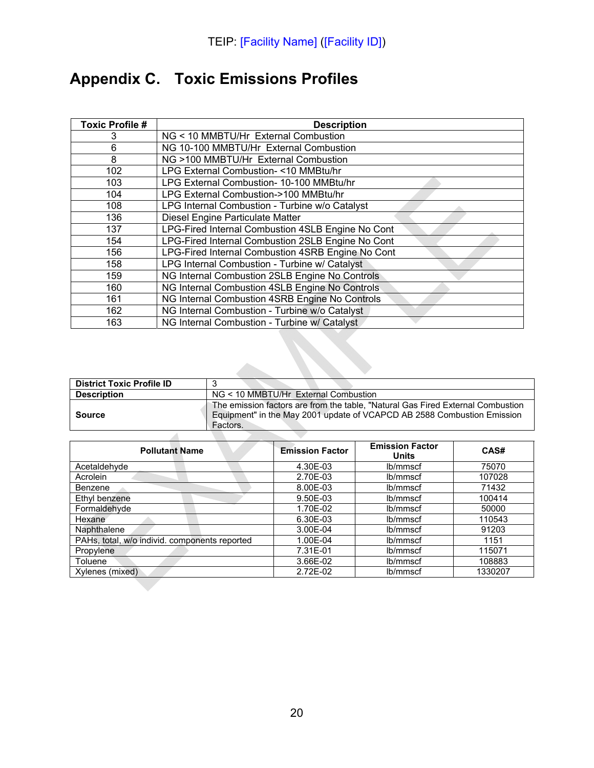# **Appendix C. Toxic Emissions Profiles**

| <b>Toxic Profile #</b> | <b>Description</b>                                |
|------------------------|---------------------------------------------------|
| 3                      | NG < 10 MMBTU/Hr External Combustion              |
| 6                      | NG 10-100 MMBTU/Hr External Combustion            |
| 8                      | NG >100 MMBTU/Hr External Combustion              |
| 102                    | LPG External Combustion-<10 MMBtu/hr              |
| 103                    | LPG External Combustion- 10-100 MMBtu/hr          |
| 104                    | LPG External Combustion->100 MMBtu/hr             |
| 108                    | LPG Internal Combustion - Turbine w/o Catalyst    |
| 136                    | Diesel Engine Particulate Matter                  |
| 137                    | LPG-Fired Internal Combustion 4SLB Engine No Cont |
| 154                    | LPG-Fired Internal Combustion 2SLB Engine No Cont |
| 156                    | LPG-Fired Internal Combustion 4SRB Engine No Cont |
| 158                    | LPG Internal Combustion - Turbine w/ Catalyst     |
| 159                    | NG Internal Combustion 2SLB Engine No Controls    |
| 160                    | NG Internal Combustion 4SLB Engine No Controls    |
| 161                    | NG Internal Combustion 4SRB Engine No Controls    |
| 162                    | NG Internal Combustion - Turbine w/o Catalyst     |
| 163                    | NG Internal Combustion - Turbine w/ Catalyst      |

| <b>District Toxic Profile ID</b> |                                                                                                                                                                        |
|----------------------------------|------------------------------------------------------------------------------------------------------------------------------------------------------------------------|
| <b>Description</b>               | NG < 10 MMBTU/Hr External Combustion                                                                                                                                   |
| Source                           | The emission factors are from the table, "Natural Gas Fired External Combustion<br>Equipment" in the May 2001 update of VCAPCD AB 2588 Combustion Emission<br>Factors. |
|                                  |                                                                                                                                                                        |

| <b>Pollutant Name</b>                         | <b>Emission Factor</b> | <b>Emission Factor</b><br><b>Units</b> | CAS#    |
|-----------------------------------------------|------------------------|----------------------------------------|---------|
| Acetaldehyde                                  | 4.30E-03               | lb/mmscf                               | 75070   |
| Acrolein                                      | 2.70E-03               | lb/mmscf                               | 107028  |
| Benzene                                       | 8.00E-03               | lb/mmscf                               | 71432   |
| Ethyl benzene                                 | 9.50E-03               | lb/mmscf                               | 100414  |
| Formaldehyde                                  | 1.70E-02               | lb/mmscf                               | 50000   |
| Hexane                                        | 6.30E-03               | lb/mmscf                               | 110543  |
| Naphthalene                                   | 3.00E-04               | lb/mmscf                               | 91203   |
| PAHs, total, w/o individ. components reported | 1.00E-04               | lb/mmscf                               | 1151    |
| Propylene                                     | 7.31E-01               | lb/mmscf                               | 115071  |
| Toluene                                       | 3.66E-02               | lb/mmscf                               | 108883  |
| Xylenes (mixed)                               | 2.72E-02               | lb/mmscf                               | 1330207 |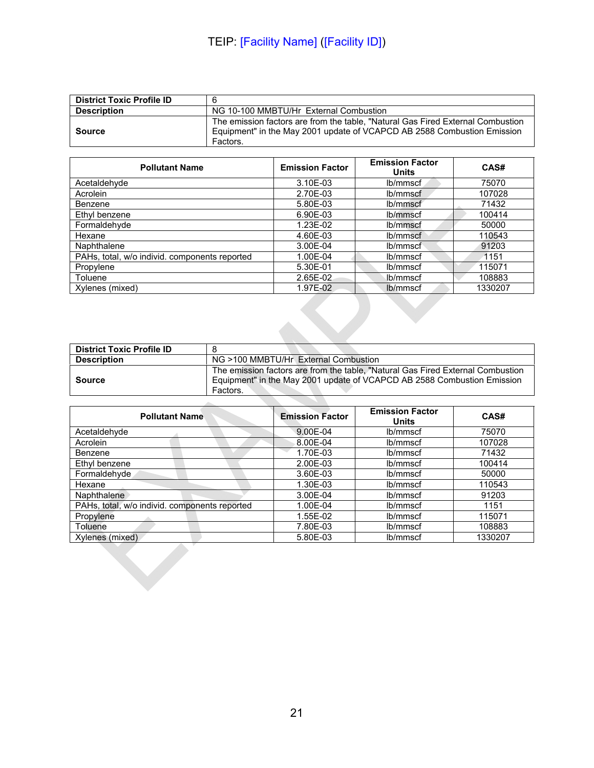| <b>District Toxic Profile ID</b> |                                                                                                                                                                        |
|----------------------------------|------------------------------------------------------------------------------------------------------------------------------------------------------------------------|
| <b>Description</b>               | NG 10-100 MMBTU/Hr External Combustion                                                                                                                                 |
| Source                           | The emission factors are from the table. "Natural Gas Fired External Combustion<br>Equipment" in the May 2001 update of VCAPCD AB 2588 Combustion Emission<br>Factors. |

| <b>Pollutant Name</b>                         | <b>Emission Factor</b> | <b>Emission Factor</b><br><b>Units</b> | CAS#    |
|-----------------------------------------------|------------------------|----------------------------------------|---------|
| Acetaldehyde                                  | 3.10E-03               | lb/mmscf                               | 75070   |
| Acrolein                                      | 2.70E-03               | lb/mmscf                               | 107028  |
| Benzene                                       | 5.80E-03               | lb/mmscf                               | 71432   |
| Ethyl benzene                                 | 6.90E-03               | lb/mmscf                               | 100414  |
| Formaldehyde                                  | 1.23E-02               | lb/mmscf                               | 50000   |
| Hexane                                        | 4.60E-03               | lb/mmscf                               | 110543  |
| Naphthalene                                   | 3.00E-04               | lb/mmscf                               | 91203   |
| PAHs, total, w/o individ. components reported | 1.00E-04               | lb/mmscf                               | 1151    |
| Propylene                                     | 5.30E-01               | lb/mmscf                               | 115071  |
| Toluene                                       | 2.65E-02               | Jb/mmscf                               | 108883  |
| Xylenes (mixed)                               | 1.97E-02               | lb/mmscf                               | 1330207 |

| <b>District Toxic Profile ID</b> |                                                                                                                                                                        |
|----------------------------------|------------------------------------------------------------------------------------------------------------------------------------------------------------------------|
| <b>Description</b>               | NG >100 MMBTU/Hr External Combustion                                                                                                                                   |
| Source                           | The emission factors are from the table, "Natural Gas Fired External Combustion<br>Equipment" in the May 2001 update of VCAPCD AB 2588 Combustion Emission<br>Factors. |
|                                  |                                                                                                                                                                        |

| <b>Pollutant Name</b>                         | <b>Emission Factor</b> | <b>Emission Factor</b><br><b>Units</b> | CAS#    |
|-----------------------------------------------|------------------------|----------------------------------------|---------|
| Acetaldehyde                                  | 9.00E-04               | lb/mmscf                               | 75070   |
| Acrolein                                      | 8.00E-04               | lb/mmscf                               | 107028  |
| Benzene                                       | 1.70E-03               | lb/mmscf                               | 71432   |
| Ethyl benzene                                 | 2.00E-03               | lb/mmscf                               | 100414  |
| Formaldehyde                                  | 3.60E-03               | lb/mmscf                               | 50000   |
| Hexane                                        | 1.30E-03               | lb/mmscf                               | 110543  |
| Naphthalene                                   | 3.00E-04               | lb/mmscf                               | 91203   |
| PAHs, total, w/o individ. components reported | 1.00E-04               | lb/mmscf                               | 1151    |
| Propylene                                     | 1.55E-02               | lb/mmscf                               | 115071  |
| Toluene                                       | 7.80E-03               | lb/mmscf                               | 108883  |
| Xylenes (mixed)                               | 5.80E-03               | lb/mmscf                               | 1330207 |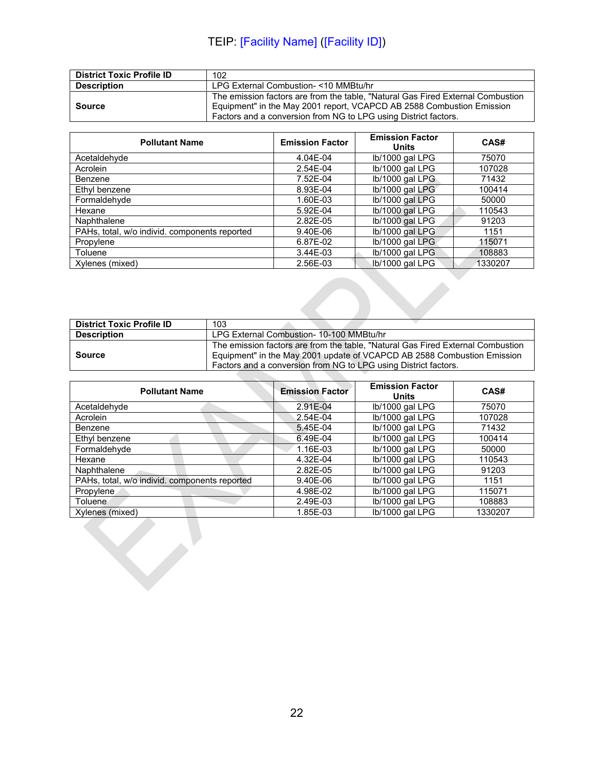| <b>District Toxic Profile ID</b> | 102                                                                                                                                                                                                                         |
|----------------------------------|-----------------------------------------------------------------------------------------------------------------------------------------------------------------------------------------------------------------------------|
| <b>Description</b>               | LPG External Combustion-<10 MMBtu/hr                                                                                                                                                                                        |
| <b>Source</b>                    | The emission factors are from the table, "Natural Gas Fired External Combustion<br>Equipment" in the May 2001 report, VCAPCD AB 2588 Combustion Emission<br>Factors and a conversion from NG to LPG using District factors. |

| <b>Pollutant Name</b>                         | <b>Emission Factor</b> | <b>Emission Factor</b><br>Units | CAS#    |
|-----------------------------------------------|------------------------|---------------------------------|---------|
| Acetaldehyde                                  | 4.04E-04               | lb/1000 gal LPG                 | 75070   |
| Acrolein                                      | 2.54E-04               | lb/1000 gal LPG                 | 107028  |
| Benzene                                       | 7.52E-04               | lb/1000 gal LPG                 | 71432   |
| Ethyl benzene                                 | 8.93E-04               | lb/1000 gal LPG                 | 100414  |
| Formaldehyde                                  | 1.60E-03               | lb/1000 gal LPG                 | 50000   |
| Hexane                                        | 5.92E-04               | lb/1000 gal LPG                 | 110543  |
| Naphthalene                                   | 2.82E-05               | lb/1000 gal LPG                 | 91203   |
| PAHs, total, w/o individ. components reported | 9.40E-06               | lb/1000 gal LPG                 | 1151    |
| Propylene                                     | 6.87E-02               | lb/1000 gal LPG                 | 115071  |
| Toluene                                       | 3.44E-03               | lb/1000 gal LPG                 | 108883  |
| Xylenes (mixed)                               | 2.56E-03               | lb/1000 gal LPG                 | 1330207 |
|                                               |                        |                                 |         |

| <b>District Toxic Profile ID</b> | 103                                                                                                                                                                                                                           |
|----------------------------------|-------------------------------------------------------------------------------------------------------------------------------------------------------------------------------------------------------------------------------|
| <b>Description</b>               | LPG External Combustion- 10-100 MMBtu/hr                                                                                                                                                                                      |
| Source                           | The emission factors are from the table. "Natural Gas Fired External Combustion<br>Equipment" in the May 2001 update of VCAPCD AB 2588 Combustion Emission<br>Factors and a conversion from NG to LPG using District factors. |

| <b>Pollutant Name</b>                         | <b>Emission Factor</b> | <b>Emission Factor</b><br><b>Units</b> | CAS#    |
|-----------------------------------------------|------------------------|----------------------------------------|---------|
| Acetaldehyde                                  | 2.91E-04               | Ib/1000 gal LPG                        | 75070   |
| Acrolein                                      | 2.54E-04               | lb/1000 gal LPG                        | 107028  |
| <b>Benzene</b>                                | 5.45E-04               | Ib/1000 gal LPG                        | 71432   |
| Ethyl benzene                                 | 6.49E-04               | lb/1000 gal LPG                        | 100414  |
| Formaldehyde                                  | 1.16E-03               | lb/1000 gal LPG                        | 50000   |
| Hexane                                        | 4.32E-04               | lb/1000 gal LPG                        | 110543  |
| Naphthalene                                   | 2.82E-05               | lb/1000 gal LPG                        | 91203   |
| PAHs, total, w/o individ. components reported | 9.40E-06               | lb/1000 gal LPG                        | 1151    |
| Propylene                                     | 4.98E-02               | lb/1000 gal LPG                        | 115071  |
| Toluene                                       | 2.49E-03               | Ib/1000 gal LPG                        | 108883  |
| Xylenes (mixed)                               | 1.85E-03               | lb/1000 gal LPG                        | 1330207 |
|                                               |                        |                                        |         |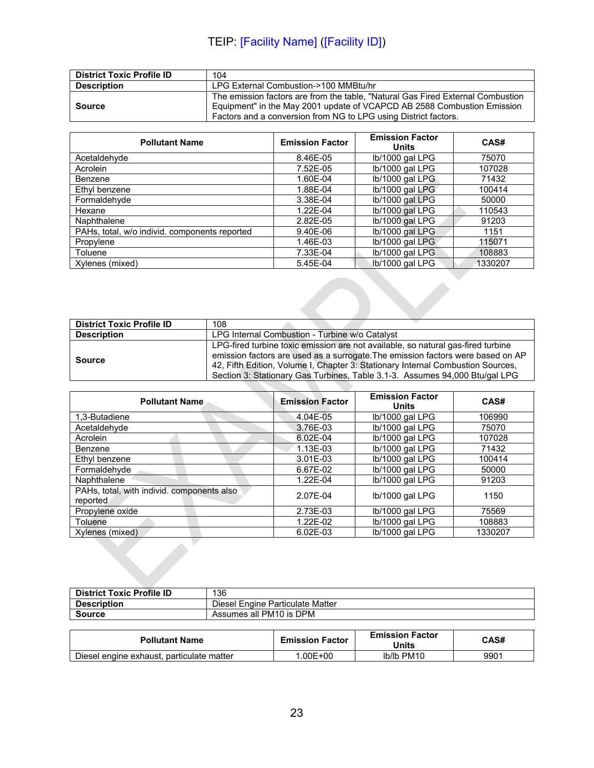| <b>District Toxic Profile ID</b> | 104                                                                                                                                                                                                                           |
|----------------------------------|-------------------------------------------------------------------------------------------------------------------------------------------------------------------------------------------------------------------------------|
| <b>Description</b>               | LPG External Combustion->100 MMBtu/hr                                                                                                                                                                                         |
| <b>Source</b>                    | The emission factors are from the table, "Natural Gas Fired External Combustion<br>Equipment" in the May 2001 update of VCAPCD AB 2588 Combustion Emission<br>Factors and a conversion from NG to LPG using District factors. |

| <b>Pollutant Name</b>                         | <b>Emission Factor</b> | <b>Emission Factor</b><br>Units | CAS#    |
|-----------------------------------------------|------------------------|---------------------------------|---------|
| Acetaldehyde                                  | 8.46E-05               | lb/1000 gal LPG                 | 75070   |
| Acrolein                                      | 7.52E-05               | lb/1000 gal LPG                 | 107028  |
| Benzene                                       | 1.60E-04               | lb/1000 gal LPG                 | 71432   |
| Ethyl benzene                                 | 1.88E-04               | lb/1000 gal LPG                 | 100414  |
| Formaldehyde                                  | 3.38E-04               | lb/1000 gal LPG                 | 50000   |
| Hexane                                        | 1.22E-04               | lb/1000 gal LPG                 | 110543  |
| Naphthalene                                   | 2.82E-05               | lb/1000 gal LPG                 | 91203   |
| PAHs, total, w/o individ. components reported | 9.40E-06               | lb/1000 gal LPG                 | 1151    |
| Propylene                                     | 1.46E-03               | lb/1000 gal LPG                 | 115071  |
| Toluene                                       | 7.33E-04               | lb/1000 gal LPG                 | 108883  |
| Xylenes (mixed)                               | 5.45E-04               | Ib/1000 gal LPG                 | 1330207 |
|                                               |                        |                                 |         |

| <b>District Toxic Profile ID</b> | 108                                                                              |
|----------------------------------|----------------------------------------------------------------------------------|
| <b>Description</b>               | LPG Internal Combustion - Turbine w/o Catalyst                                   |
|                                  | LPG-fired turbine toxic emission are not available, so natural gas-fired turbine |
| <b>Source</b>                    | emission factors are used as a surrogate. The emission factors were based on AP  |
|                                  | 42, Fifth Edition, Volume I, Chapter 3: Stationary Internal Combustion Sources,  |
|                                  | Section 3: Stationary Gas Turbines, Table 3.1-3. Assumes 94,000 Btu/gal LPG      |

| <b>Pollutant Name</b>                                  | <b>Emission Factor</b> | <b>Emission Factor</b><br><b>Units</b> | CAS#    |
|--------------------------------------------------------|------------------------|----------------------------------------|---------|
| 1.3-Butadiene                                          | 4.04E-05               | lb/1000 gal LPG                        | 106990  |
| Acetaldehyde                                           | 3.76E-03               | lb/1000 gal LPG                        | 75070   |
| Acrolein                                               | 6.02E-04               | lb/1000 gal LPG                        | 107028  |
| Benzene                                                | 1.13E-03               | Ib/1000 gal LPG                        | 71432   |
| Ethyl benzene                                          | 3.01E-03               | lb/1000 gal LPG                        | 100414  |
| Formaldehyde                                           | 6.67E-02               | lb/1000 gal LPG                        | 50000   |
| Naphthalene                                            | 1.22E-04               | lb/1000 gal LPG                        | 91203   |
| PAHs, total, with individ. components also<br>reported | 2.07E-04               | Ib/1000 gal LPG                        | 1150    |
| Propylene oxide                                        | 2.73E-03               | lb/1000 gal LPG                        | 75569   |
| Toluene                                                | 1.22E-02               | Ib/1000 gal LPG                        | 108883  |
| Xylenes (mixed)                                        | 6.02E-03               | lb/1000 gal LPG                        | 1330207 |

| <b>District Toxic Profile ID</b> | 136                              |
|----------------------------------|----------------------------------|
| <b>Description</b>               | Diesel Engine Particulate Matter |
| <b>Source</b>                    | Assumes all PM10 is DPM          |

| <b>Pollutant Name</b>                     | <b>Emission Factor</b> | <b>Emission Factor</b><br><b>Units</b> | CAS# |
|-------------------------------------------|------------------------|----------------------------------------|------|
| Diesel engine exhaust, particulate matter | $.00E + 00$            | Ib/Ib PM10                             | 9901 |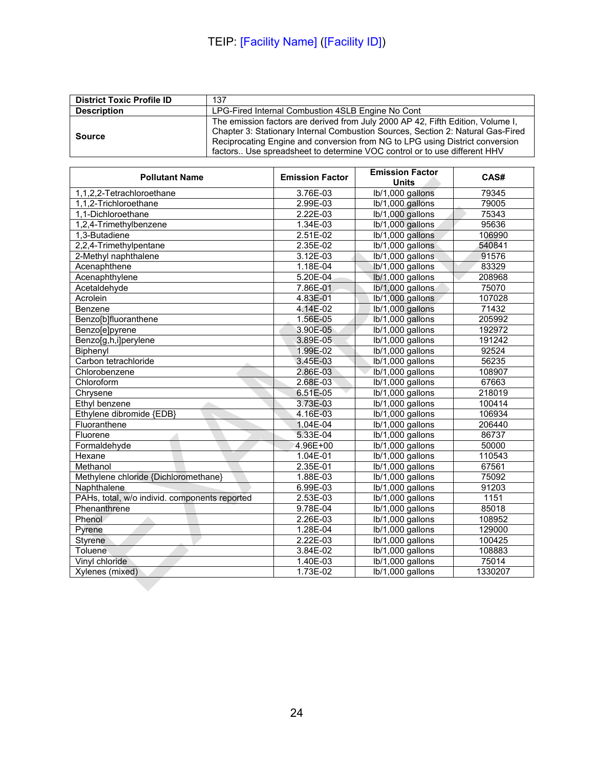| <b>District Toxic Profile ID</b> | 137                                                                                                                                                                                                                                                                                                                            |
|----------------------------------|--------------------------------------------------------------------------------------------------------------------------------------------------------------------------------------------------------------------------------------------------------------------------------------------------------------------------------|
| <b>Description</b>               | LPG-Fired Internal Combustion 4SLB Engine No Cont                                                                                                                                                                                                                                                                              |
| <b>Source</b>                    | The emission factors are derived from July 2000 AP 42, Fifth Edition, Volume I,<br>Chapter 3: Stationary Internal Combustion Sources, Section 2: Natural Gas-Fired<br>Reciprocating Engine and conversion from NG to LPG using District conversion<br>factors Use spreadsheet to determine VOC control or to use different HHV |

| <b>Pollutant Name</b>                         | <b>Emission Factor</b> | <b>Emission Factor</b><br><b>Units</b> | CAS#    |
|-----------------------------------------------|------------------------|----------------------------------------|---------|
| 1,1,2,2-Tetrachloroethane                     | 3.76E-03               | lb/1,000 gallons                       | 79345   |
| 1,1,2-Trichloroethane                         | 2.99E-03               | lb/1,000 gallons                       | 79005   |
| 1,1-Dichloroethane                            | 2.22E-03               | lb/1,000 gallons                       | 75343   |
| 1,2,4-Trimethylbenzene                        | 1.34E-03               | lb/1,000 gallons                       | 95636   |
| 1,3-Butadiene                                 | $2.51E-02$             | lb/1,000 gallons                       | 106990  |
| 2,2,4-Trimethylpentane                        | $2.35E-02$             | lb/1,000 gallons                       | 540841  |
| 2-Methyl naphthalene                          | 3.12E-03               | lb/1,000 gallons                       | 91576   |
| Acenaphthene                                  | 1.18E-04               | lb/1,000 gallons                       | 83329   |
| Acenaphthylene                                | $5.20E-04$             | lb/1,000 gallons                       | 208968  |
| Acetaldehyde                                  | 7.86E-01               | lb/1,000 gallons                       | 75070   |
| Acrolein                                      | 4.83E-01               | lb/1,000 gallons                       | 107028  |
| Benzene                                       | 4.14E-02               | lb/1,000 gallons                       | 71432   |
| Benzo[b]fluoranthene                          | 1.56E-05               | lb/1,000 gallons                       | 205992  |
| Benzo[e]pyrene                                | 3.90E-05               | lb/1,000 gallons                       | 192972  |
| Benzo[g,h,i]perylene                          | 3.89E-05               | lb/1,000 gallons                       | 191242  |
| Biphenyl                                      | 1.99E-02               | lb/1,000 gallons                       | 92524   |
| Carbon tetrachloride                          | 3.45E-03               | lb/1,000 gallons                       | 56235   |
| Chlorobenzene                                 | 2.86E-03               | lb/1,000 gallons                       | 108907  |
| Chloroform                                    | 2.68E-03               | lb/1,000 gallons                       | 67663   |
| Chrysene                                      | 6.51E-05               | lb/1,000 gallons                       | 218019  |
| Ethyl benzene                                 | 3.73E-03               | lb/1,000 gallons                       | 100414  |
| Ethylene dibromide {EDB}                      | $4.16E-03$             | lb/1,000 gallons                       | 106934  |
| Fluoranthene                                  | 1.04E-04               | lb/1,000 gallons                       | 206440  |
| Fluorene                                      | $5.33E-04$             | lb/1,000 gallons                       | 86737   |
| Formaldehyde                                  | 4.96E+00               | lb/1,000 gallons                       | 50000   |
| Hexane                                        | 1.04E-01               | lb/1,000 gallons                       | 110543  |
| Methanol                                      | 2.35E-01               | lb/1,000 gallons                       | 67561   |
| Methylene chloride {Dichloromethane}          | 1.88E-03               | lb/1,000 gallons                       | 75092   |
| Naphthalene                                   | 6.99E-03               | lb/1,000 gallons                       | 91203   |
| PAHs, total, w/o individ. components reported | 2.53E-03               | lb/1,000 gallons                       | 1151    |
| Phenanthrene                                  | 9.78E-04               | lb/1,000 gallons                       | 85018   |
| Phenol                                        | 2.26E-03               | lb/1,000 gallons                       | 108952  |
| Pyrene                                        | 1.28E-04               | lb/1,000 gallons                       | 129000  |
| <b>Styrene</b>                                | 2.22E-03               | lb/1,000 gallons                       | 100425  |
| Toluene                                       | 3.84E-02               | lb/1,000 gallons                       | 108883  |
| Vinyl chloride                                | 1.40E-03               | lb/1,000 gallons                       | 75014   |
| Xylenes (mixed)                               | 1.73E-02               | lb/1,000 gallons                       | 1330207 |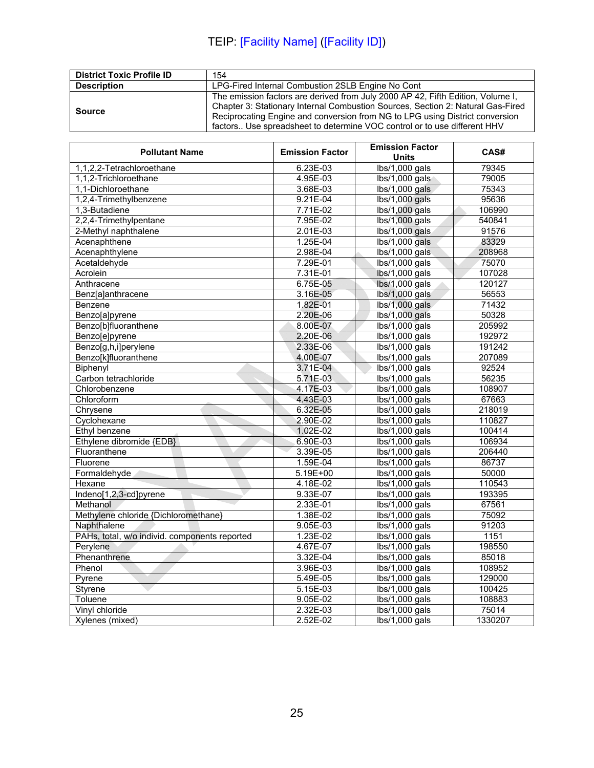| <b>District Toxic Profile ID</b> | 154                                                                                                                                                                                                                                                                                                                            |
|----------------------------------|--------------------------------------------------------------------------------------------------------------------------------------------------------------------------------------------------------------------------------------------------------------------------------------------------------------------------------|
| <b>Description</b>               | LPG-Fired Internal Combustion 2SLB Engine No Cont                                                                                                                                                                                                                                                                              |
| <b>Source</b>                    | The emission factors are derived from July 2000 AP 42, Fifth Edition, Volume I,<br>Chapter 3: Stationary Internal Combustion Sources, Section 2: Natural Gas-Fired<br>Reciprocating Engine and conversion from NG to LPG using District conversion<br>factors Use spreadsheet to determine VOC control or to use different HHV |

| <b>Pollutant Name</b>                         | <b>Emission Factor</b> | <b>Emission Factor</b><br>Units            | CAS#    |
|-----------------------------------------------|------------------------|--------------------------------------------|---------|
| 1,1,2,2-Tetrachloroethane                     | 6.23E-03               | $lbs/1,000$ gals                           | 79345   |
| 1,1,2-Trichloroethane                         | 4.95E-03               | $lbs/1,000$ gals                           | 79005   |
| 1,1-Dichloroethane                            | 3.68E-03               | lbs/1,000 gals                             | 75343   |
| 1,2,4-Trimethylbenzene                        | $9.21E-04$             | lbs/1,000 gals                             | 95636   |
| 1,3-Butadiene                                 | 7.71E-02               | lbs/1,000 gals                             | 106990  |
| 2,2,4-Trimethylpentane                        | 7.95E-02               | lbs/1,000 gals                             | 540841  |
| 2-Methyl naphthalene                          | $2.01E-03$             | lbs/1,000 gals                             | 91576   |
| Acenaphthene                                  | 1.25E-04               | $lbs/1,000$ gals                           | 83329   |
| Acenaphthylene                                | 2.98E-04               | $lbs/1,000$ gals                           | 208968  |
| Acetaldehyde                                  | 7.29E-01               | $lbs/1,000$ gals                           | 75070   |
| Acrolein                                      | 7.31E-01               | lbs/1,000 gals                             | 107028  |
| Anthracene                                    | 6.75E-05               | lbs/1,000 gals                             | 120127  |
| Benz[a]anthracene                             | 3.16E-05               | lbs/1,000 gals                             | 56553   |
| Benzene                                       | 1.82E-01               | lbs/1,000 gals                             | 71432   |
| Benzo[a]pyrene                                | 2.20E-06               | lbs/1,000 gals                             | 50328   |
| Benzo[b]fluoranthene                          | 8.00E-07               | lbs/1,000 gals                             | 205992  |
| Benzo[e]pyrene                                | 2.20E-06               | lbs/1,000 gals                             | 192972  |
| Benzo[g,h,i]perylene                          | 2.33E-06               | $lbs/1,000$ gals                           | 191242  |
| Benzo[k]fluoranthene                          | 4.00E-07               | $lbs/1,000$ gals                           | 207089  |
| Biphenyl                                      | 3.71E-04               | $\overline{\text{lbs}}/1,000 \text{ gals}$ | 92524   |
| Carbon tetrachloride                          | 5.71E-03               | $lbs/1,000$ gals                           | 56235   |
| Chlorobenzene                                 | 4.17E-03               | lbs/1,000 gals                             | 108907  |
| Chloroform                                    | 4.43E-03               | $lbs/1,000$ gals                           | 67663   |
| Chrysene                                      | 6.32E-05               | $lbs/1,000$ gals                           | 218019  |
| Cyclohexane                                   | 2.90E-02               | $lbs/1,000$ gals                           | 110827  |
| Ethyl benzene                                 | 1.02E-02               | $lbs/1,000$ gals                           | 100414  |
| Ethylene dibromide {EDB}                      | 6.90E-03               | lbs/1,000 gals                             | 106934  |
| Fluoranthene                                  | 3.39E-05               | lbs/1,000 gals                             | 206440  |
| Fluorene                                      | 1.59E-04               | $lbs/1,000$ gals                           | 86737   |
| Formaldehyde                                  | $5.19E + 00$           | lbs/1,000 gals                             | 50000   |
| Hexane                                        | 4.18E-02               | lbs/1,000 gals                             | 110543  |
| Indeno[1,2,3-cd]pyrene                        | 9.33E-07               | lbs/1,000 gals                             | 193395  |
| Methanol                                      | 2.33E-01               | $lbs/1,000$ gals                           | 67561   |
| Methylene chloride {Dichloromethane}          | 1.38E-02               | $lbs/1,000$ gals                           | 75092   |
| Naphthalene                                   | 9.05E-03               | $lbs/1,000$ gals                           | 91203   |
| PAHs, total, w/o individ. components reported | 1.23E-02               | $lbs/1,000$ gals                           | 1151    |
| Perylene                                      | 4.67E-07               | $lbs/1,000$ gals                           | 198550  |
| Phenanthrene                                  | 3.32E-04               | $lbs/1,000$ gals                           | 85018   |
| Phenol                                        | 3.96E-03               | lbs/1,000 gals                             | 108952  |
| Pyrene                                        | 5.49E-05               | $lbs/1,000$ gals                           | 129000  |
| Styrene                                       | 5.15E-03               | lbs/1,000 gals                             | 100425  |
| Toluene                                       | $9.05E-02$             | lbs/1,000 gals                             | 108883  |
| Vinyl chloride                                | 2.32E-03               | $lbs/1,000$ gals                           | 75014   |
| Xylenes (mixed)                               | 2.52E-02               | $lbs/1,000$ gals                           | 1330207 |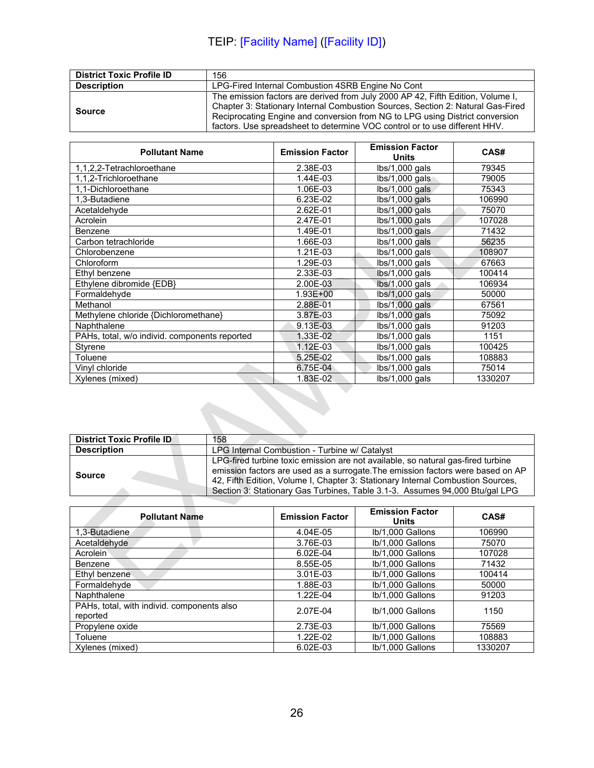| <b>District Toxic Profile ID</b> | 156                                                                                                                                                                                                                                                                                                                              |
|----------------------------------|----------------------------------------------------------------------------------------------------------------------------------------------------------------------------------------------------------------------------------------------------------------------------------------------------------------------------------|
| <b>Description</b>               | LPG-Fired Internal Combustion 4SRB Engine No Cont                                                                                                                                                                                                                                                                                |
| <b>Source</b>                    | The emission factors are derived from July 2000 AP 42, Fifth Edition, Volume I,<br>Chapter 3: Stationary Internal Combustion Sources, Section 2: Natural Gas-Fired<br>Reciprocating Engine and conversion from NG to LPG using District conversion<br>factors. Use spreadsheet to determine VOC control or to use different HHV. |

| <b>Pollutant Name</b>                         | <b>Emission Factor</b> | <b>Emission Factor</b><br>Units | CAS#    |
|-----------------------------------------------|------------------------|---------------------------------|---------|
| 1,1,2,2-Tetrachloroethane                     | 2.38E-03               | $lbs/1,000$ gals                | 79345   |
| 1,1,2-Trichloroethane                         | 1.44E-03               | lbs/1,000 gals                  | 79005   |
| 1,1-Dichloroethane                            | 1.06E-03               | lbs/1,000 gals                  | 75343   |
| 1.3-Butadiene                                 | 6.23E-02               | lbs/1,000 gals                  | 106990  |
| Acetaldehyde                                  | 2.62E-01               | lbs/1,000 gals                  | 75070   |
| Acrolein                                      | 2.47E-01               | $lbs/1,000$ gals                | 107028  |
| Benzene                                       | 1.49E-01               | $lbs/1,000$ gals                | 71432   |
| Carbon tetrachloride                          | 1.66E-03               | lbs/1,000 gals                  | 56235   |
| Chlorobenzene                                 | 1.21E-03               | lbs/1,000 gals                  | 108907  |
| Chloroform                                    | 1.29E-03               | $lbs/1,000$ gals                | 67663   |
| Ethyl benzene                                 | 2.33E-03               | $lbs/1,000$ gals                | 100414  |
| Ethylene dibromide {EDB}                      | 2.00E-03               | $lbs/1,000$ gals                | 106934  |
| Formaldehyde                                  | $1.93E + 00$           | $lbs/1,000$ gals                | 50000   |
| Methanol                                      | 2.88E-01               | $lbs/1,000$ gals                | 67561   |
| Methylene chloride {Dichloromethane}          | 3.87E-03               | $lbs/1,000$ gals                | 75092   |
| Naphthalene                                   | 9.13E-03               | $lbs/1,000$ gals                | 91203   |
| PAHs, total, w/o individ. components reported | 1.33E-02               | $lbs/1,000$ gals                | 1151    |
| Styrene                                       | 1.12E-03               | $lbs/1,000$ gals                | 100425  |
| Toluene                                       | 5.25E-02               | lbs/1,000 gals                  | 108883  |
| Vinyl chloride                                | 6.75E-04               | $lbs/1,000$ gals                | 75014   |
| Xylenes (mixed)                               | 1.83E-02               | $lbs/1,000$ gals                | 1330207 |

| <b>District Toxic Profile ID</b> | 158                                                                                                                                                                                                                                                                                                                                   |
|----------------------------------|---------------------------------------------------------------------------------------------------------------------------------------------------------------------------------------------------------------------------------------------------------------------------------------------------------------------------------------|
| <b>Description</b>               | LPG Internal Combustion - Turbine w/ Catalyst                                                                                                                                                                                                                                                                                         |
| <b>Source</b>                    | LPG-fired turbine toxic emission are not available, so natural gas-fired turbine<br>emission factors are used as a surrogate. The emission factors were based on AP<br>42, Fifth Edition, Volume I, Chapter 3: Stationary Internal Combustion Sources,<br>Section 3: Stationary Gas Turbines, Table 3.1-3. Assumes 94,000 Btu/gal LPG |
|                                  |                                                                                                                                                                                                                                                                                                                                       |

| <b>Pollutant Name</b>                                  | <b>Emission Factor</b> | <b>Emission Factor</b><br>Units | CAS#    |
|--------------------------------------------------------|------------------------|---------------------------------|---------|
| 1.3-Butadiene                                          | 4.04E-05               | lb/1,000 Gallons                | 106990  |
| Acetaldehyde                                           | 3.76E-03               | lb/1,000 Gallons                | 75070   |
| Acrolein                                               | 6.02E-04               | lb/1,000 Gallons                | 107028  |
| Benzene                                                | 8.55E-05               | lb/1,000 Gallons                | 71432   |
| Ethyl benzene                                          | 3.01E-03               | lb/1.000 Gallons                | 100414  |
| Formaldehyde                                           | 1.88E-03               | lb/1.000 Gallons                | 50000   |
| Naphthalene                                            | 1.22E-04               | lb/1,000 Gallons                | 91203   |
| PAHs, total, with individ. components also<br>reported | 2.07E-04               | Ib/1,000 Gallons                | 1150    |
| Propylene oxide                                        | 2.73E-03               | lb/1,000 Gallons                | 75569   |
| Toluene                                                | 1.22E-02               | lb/1,000 Gallons                | 108883  |
| Xylenes (mixed)                                        | 6.02E-03               | lb/1.000 Gallons                | 1330207 |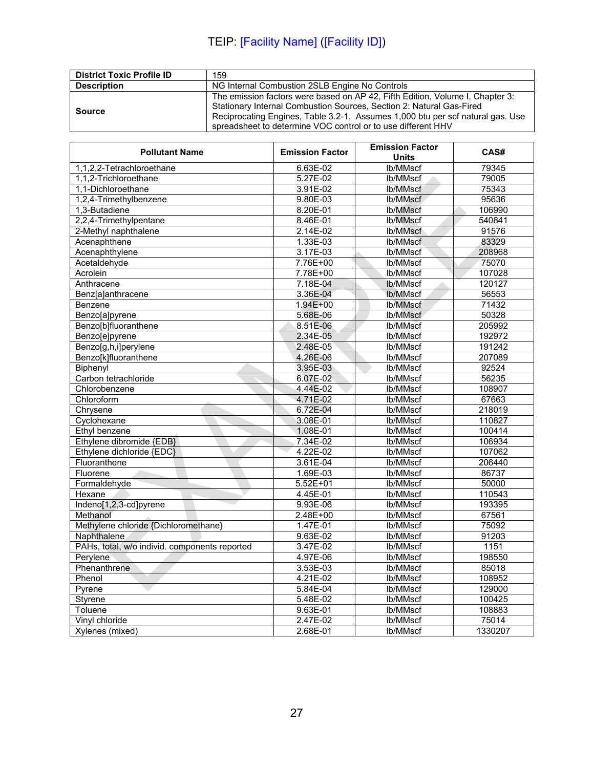| <b>District Toxic Profile ID</b> | 159                                                                                                                                                                                                                                                                                                     |
|----------------------------------|---------------------------------------------------------------------------------------------------------------------------------------------------------------------------------------------------------------------------------------------------------------------------------------------------------|
| <b>Description</b>               | NG Internal Combustion 2SLB Engine No Controls                                                                                                                                                                                                                                                          |
| Source                           | The emission factors were based on AP 42, Fifth Edition, Volume I, Chapter 3:<br>Stationary Internal Combustion Sources, Section 2: Natural Gas-Fired<br>Reciprocating Engines, Table 3.2-1. Assumes 1,000 btu per scf natural gas. Use<br>spreadsheet to determine VOC control or to use different HHV |

| <b>Pollutant Name</b>                         | <b>Emission Factor</b> | <b>Emission Factor</b> | CAS#             |
|-----------------------------------------------|------------------------|------------------------|------------------|
|                                               |                        | <b>Units</b>           |                  |
| 1,1,2,2-Tetrachloroethane                     | 6.63E-02               | lb/MMscf               | 79345            |
| 1,1,2-Trichloroethane                         | 5.27E-02               | lb/MMscf               | 79005            |
| 1,1-Dichloroethane                            | 3.91E-02               | lb/MMscf               | 75343            |
| 1,2,4-Trimethylbenzene                        | 9.80E-03               | lb/MMscf               | 95636            |
| 1,3-Butadiene                                 | 8.20E-01               | lb/MMscf               | 106990           |
| 2,2,4-Trimethylpentane                        | 8.46E-01               | lb/MMscf               | 540841           |
| 2-Methyl naphthalene                          | $2.14E-02$             | lb/MMscf               | 91576            |
| Acenaphthene                                  | 1.33E-03               | lb/MMscf               | 83329            |
| Acenaphthylene                                | 3.17E-03               | lb/MMscf               | 208968           |
| Acetaldehyde                                  | 7.76E+00               | lb/MMscf               | 75070            |
| Acrolein                                      | 7.78E+00               | lb/MMscf               | 107028           |
| Anthracene                                    | 7.18E-04               | lb/MMscf<br>dir.       | 120127           |
| Benz[a]anthracene                             | 3.36E-04               | lb/MMscf               | 56553            |
| Benzene                                       | $1.94E + 00$           | lb/MMscf               | 71432            |
| Benzo[a]pyrene                                | 5.68E-06               | lb/MMscf               | 50328            |
| Benzo[b]fluoranthene                          | 8.51E-06               | lb/MMscf               | 205992           |
| Benzo[e]pyrene                                | $2.34E-05$             | lb/MMscf               | 192972           |
| Benzo[g,h,i]perylene                          | 2.48E-05               | lb/MMscf               | 191242           |
| Benzo[k]fluoranthene                          | 4.26E-06               | lb/MMscf               | 207089           |
| Biphenyl                                      | 3.95E-03               | lb/MMscf               | 92524            |
| Carbon tetrachloride                          | 6.07E-02               | lb/MMscf               | 56235            |
| Chlorobenzene                                 | 4.44E-02               | lb/MMscf               | 108907           |
| Chloroform                                    | 4.71E-02               | lb/MMscf               | 67663            |
| Chrysene                                      | 6.72E-04               | lb/MMscf               | 218019           |
| Cyclohexane                                   | 3.08E-01               | lb/MMscf               | 110827           |
| Ethyl benzene                                 | 1.08E-01               | lb/MMscf               | 100414           |
| Ethylene dibromide {EDB}                      | 7.34E-02               | lb/MMscf               | 106934           |
| Ethylene dichloride {EDC}                     | 4.22E-02               | lb/MMscf               | 107062           |
| Fluoranthene                                  | 3.61E-04               | lb/MMscf               | 206440           |
| Fluorene                                      | 1.69E-03               | lb/MMscf               | 86737            |
| Formaldehyde                                  | $5.52E+01$             | lb/MMscf               | 50000            |
| Hexane                                        | 4.45E-01               | lb/MMscf               | 110543           |
| Indeno[1,2,3-cd]pyrene                        | 9.93E-06               | lb/MMscf               | 193395           |
| Methanol                                      | $2.48E + 00$           | lb/MMscf               | 67561            |
| Methylene chloride {Dichloromethane}          | 1.47E-01               | lb/MMscf               | 75092            |
| Naphthalene                                   | $9.63E-02$             | lb/MMscf               | 91203            |
| PAHs, total, w/o individ. components reported | 3.47E-02               | lb/MMscf               | $\frac{1151}{1}$ |
| Perylene                                      | 4.97E-06               | lb/MMscf               | 198550           |
| Phenanthrene                                  | 3.53E-03               | lb/MMscf               | 85018            |
| Phenol                                        | 4.21E-02               | lb/MMscf               | 108952           |
| Pyrene                                        | 5.84E-04               | lb/MMscf               | 129000           |
| Styrene                                       | 5.48E-02               | lb/MMscf               | 100425           |
| Toluene                                       | 9.63E-01               | lb/MMscf               | 108883           |
| Vinyl chloride                                | 2.47E-02               | lb/MMscf               | 75014            |
| Xylenes (mixed)                               | 2.68E-01               | lb/MMscf               | 1330207          |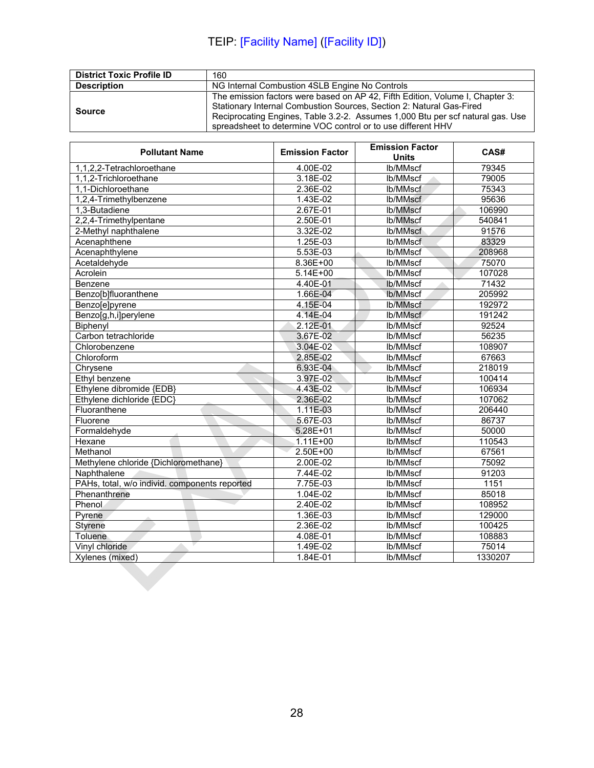| <b>District Toxic Profile ID</b> | 160                                                                                                                                                                                                                                                                                                     |
|----------------------------------|---------------------------------------------------------------------------------------------------------------------------------------------------------------------------------------------------------------------------------------------------------------------------------------------------------|
| <b>Description</b>               | NG Internal Combustion 4SLB Engine No Controls                                                                                                                                                                                                                                                          |
| Source                           | The emission factors were based on AP 42, Fifth Edition, Volume I, Chapter 3:<br>Stationary Internal Combustion Sources, Section 2: Natural Gas-Fired<br>Reciprocating Engines, Table 3.2-2. Assumes 1,000 Btu per scf natural gas. Use<br>spreadsheet to determine VOC control or to use different HHV |

| <b>Pollutant Name</b>                         | <b>Emission Factor</b> | <b>Emission Factor</b><br><b>Units</b> | CAS#    |
|-----------------------------------------------|------------------------|----------------------------------------|---------|
| 1,1,2,2-Tetrachloroethane                     | 4.00E-02               | lb/MMscf                               | 79345   |
| 1,1,2-Trichloroethane                         | 3.18E-02               | lb/MMscf                               | 79005   |
| 1,1-Dichloroethane                            | 2.36E-02               | lb/MMscf                               | 75343   |
| 1,2,4-Trimethylbenzene                        | 1.43E-02               | lb/MMscf                               | 95636   |
| 1,3-Butadiene                                 | 2.67E-01               | lb/MMscf                               | 106990  |
| 2,2,4-Trimethylpentane                        | 2.50E-01               | lb/MMscf                               | 540841  |
| 2-Methyl naphthalene                          | 3.32E-02               | lb/MMscf                               | 91576   |
| Acenaphthene                                  | 1.25E-03               | lb/MMscf                               | 83329   |
| Acenaphthylene                                | 5.53E-03               | lb/MMscf                               | 208968  |
| Acetaldehyde                                  | 8.36E+00               | lb/MMscf                               | 75070   |
| Acrolein                                      | $5.14E + 00$           | lb/MMscf                               | 107028  |
| Benzene                                       | 4.40E-01               | lb/MMscf                               | 71432   |
| Benzo[b]fluoranthene                          | 1.66E-04               | lb/MMscf                               | 205992  |
| Benzo[e]pyrene                                | 4.15E-04               | lb/MMscf                               | 192972  |
| Benzo[g,h,i]perylene                          | 4.14E-04               | lb/MMscf                               | 191242  |
| Biphenyl                                      | 2.12E-01               | lb/MMscf                               | 92524   |
| Carbon tetrachloride                          | 3.67E-02               | lb/MMscf                               | 56235   |
| Chlorobenzene                                 | 3.04E-02               | lb/MMscf                               | 108907  |
| Chloroform                                    | 2.85E-02               | lb/MMscf                               | 67663   |
| Chrysene                                      | 6.93E-04               | lb/MMscf                               | 218019  |
| Ethyl benzene                                 | 3.97E-02               | lb/MMscf                               | 100414  |
| Ethylene dibromide {EDB}                      | 4.43E-02               | lb/MMscf                               | 106934  |
| Ethylene dichloride {EDC}                     | 2.36E-02               | lb/MMscf                               | 107062  |
| Fluoranthene                                  | 1.11E-03               | lb/MMscf                               | 206440  |
| Fluorene                                      | 5.67E-03               | lb/MMscf                               | 86737   |
| Formaldehyde                                  | $5.28E + 01$           | lb/MMscf                               | 50000   |
| Hexane                                        | $1.11E + 00$           | lb/MMscf                               | 110543  |
| Methanol                                      | 2.50E+00               | lb/MMscf                               | 67561   |
| Methylene chloride {Dichloromethane}          | 2.00E-02               | lb/MMscf                               | 75092   |
| Naphthalene                                   | 7.44E-02               | lb/MMscf                               | 91203   |
| PAHs, total, w/o individ. components reported | 7.75E-03               | lb/MMscf                               | 1151    |
| Phenanthrene                                  | 1.04E-02               | lb/MMscf                               | 85018   |
| Phenol                                        | 2.40E-02               | lb/MMscf                               | 108952  |
| Pyrene                                        | 1.36E-03               | lb/MMscf                               | 129000  |
| <b>Styrene</b>                                | 2.36E-02               | lb/MMscf                               | 100425  |
| Toluene                                       | 4.08E-01               | lb/MMscf                               | 108883  |
| Vinyl chloride                                | 1.49E-02               | lb/MMscf                               | 75014   |
| Xylenes (mixed)                               | 1.84E-01               | lb/MMscf                               | 1330207 |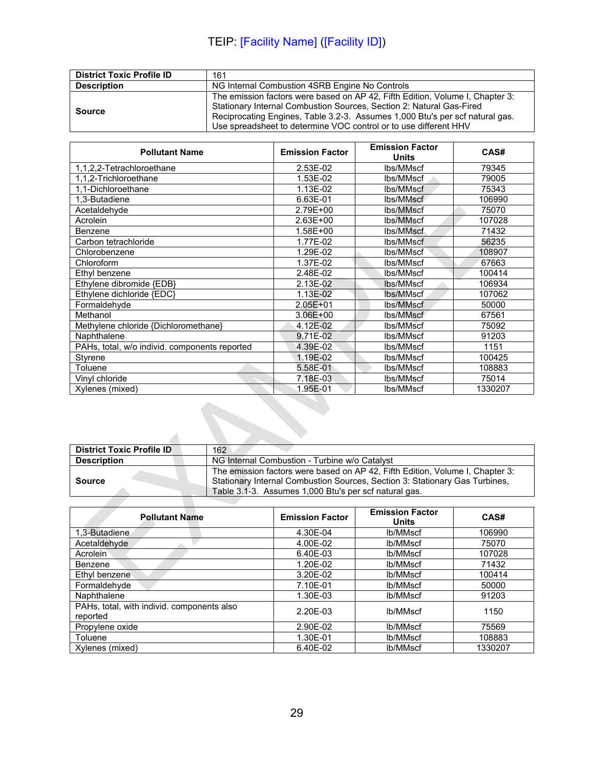| <b>District Toxic Profile ID</b> | 161                                                                                                                                                                                                                                                                                                       |
|----------------------------------|-----------------------------------------------------------------------------------------------------------------------------------------------------------------------------------------------------------------------------------------------------------------------------------------------------------|
| <b>Description</b>               | NG Internal Combustion 4SRB Engine No Controls                                                                                                                                                                                                                                                            |
| Source                           | The emission factors were based on AP 42, Fifth Edition, Volume I, Chapter 3:<br>Stationary Internal Combustion Sources, Section 2: Natural Gas-Fired<br>Reciprocating Engines, Table 3.2-3. Assumes 1,000 Btu's per scf natural gas.<br>Use spreadsheet to determine VOC control or to use different HHV |

| <b>Pollutant Name</b>                         | <b>Emission Factor</b> | <b>Emission Factor</b><br><b>Units</b> | CAS#    |
|-----------------------------------------------|------------------------|----------------------------------------|---------|
| 1,1,2,2-Tetrachloroethane                     | 2.53E-02               | lbs/MMscf                              | 79345   |
| 1,1,2-Trichloroethane                         | 1.53E-02               | lbs/MMscf                              | 79005   |
| 1,1-Dichloroethane                            | 1.13E-02               | lbs/MMscf                              | 75343   |
| 1.3-Butadiene                                 | 6.63E-01               | lbs/MMscf                              | 106990  |
| Acetaldehyde                                  | 2.79E+00               | lbs/MMscf                              | 75070   |
| Acrolein                                      | $2.63E + 00$           | lbs/MMscf                              | 107028  |
| Benzene                                       | $1.58E + 00$           | lbs/MMscf                              | 71432   |
| Carbon tetrachloride                          | 1.77E-02               | lbs/MMscf                              | 56235   |
| Chlorobenzene                                 | 1.29E-02               | lbs/MMscf                              | 108907  |
| Chloroform                                    | 1.37E-02               | lbs/MMscf                              | 67663   |
| Ethyl benzene                                 | 2.48E-02               | lbs/MMscf                              | 100414  |
| Ethylene dibromide {EDB}                      | 2.13E-02               | lbs/MMscf                              | 106934  |
| Ethylene dichloride {EDC}                     | 1.13E-02               | lbs/MMscf                              | 107062  |
| Formaldehyde                                  | $2.05E + 01$           | lbs/MMscf                              | 50000   |
| Methanol                                      | $3.06E + 00$           | lbs/MMscf                              | 67561   |
| Methylene chloride {Dichloromethane}          | 4.12E-02               | lbs/MMscf                              | 75092   |
| Naphthalene                                   | 9.71E-02               | lbs/MMscf                              | 91203   |
| PAHs, total, w/o individ. components reported | 4.39E-02               | lbs/MMscf                              | 1151    |
| Styrene                                       | 1.19E-02               | lbs/MMscf                              | 100425  |
| Toluene                                       | 5.58E-01               | lbs/MMscf                              | 108883  |
| Vinyl chloride                                | 7.18E-03               | lbs/MMscf                              | 75014   |
| Xylenes (mixed)                               | 1.95E-01               | lbs/MMscf                              | 1330207 |
|                                               |                        |                                        |         |

| <b>District Toxic Profile ID</b> | 162                                                                                                                                                                                                                   |
|----------------------------------|-----------------------------------------------------------------------------------------------------------------------------------------------------------------------------------------------------------------------|
| <b>Description</b>               | NG Internal Combustion - Turbine w/o Catalyst                                                                                                                                                                         |
| <b>Source</b>                    | The emission factors were based on AP 42, Fifth Edition, Volume I, Chapter 3:<br>Stationary Internal Combustion Sources, Section 3: Stationary Gas Turbines,<br>Table 3.1-3. Assumes 1,000 Btu's per scf natural gas. |
|                                  |                                                                                                                                                                                                                       |

| <b>Pollutant Name</b>                                  | <b>Emission Factor</b> | <b>Emission Factor</b><br>Units | CAS#    |
|--------------------------------------------------------|------------------------|---------------------------------|---------|
| 1,3-Butadiene                                          | 4.30E-04               | lb/MMscf                        | 106990  |
| Acetaldehyde                                           | 4.00E-02               | lb/MMscf                        | 75070   |
| Acrolein                                               | 6.40E-03               | lb/MMscf                        | 107028  |
| Benzene                                                | 1.20E-02               | lb/MMscf                        | 71432   |
| Ethyl benzene                                          | 3.20E-02               | lb/MMscf                        | 100414  |
| Formaldehyde                                           | 7.10E-01               | lb/MMscf                        | 50000   |
| Naphthalene                                            | 1.30E-03               | lb/MMscf                        | 91203   |
| PAHs, total, with individ. components also<br>reported | 2.20E-03               | lb/MMscf                        | 1150    |
| Propylene oxide                                        | 2.90E-02               | lb/MMscf                        | 75569   |
| Toluene                                                | 1.30E-01               | lb/MMscf                        | 108883  |
| Xylenes (mixed)                                        | 6.40E-02               | lb/MMscf                        | 1330207 |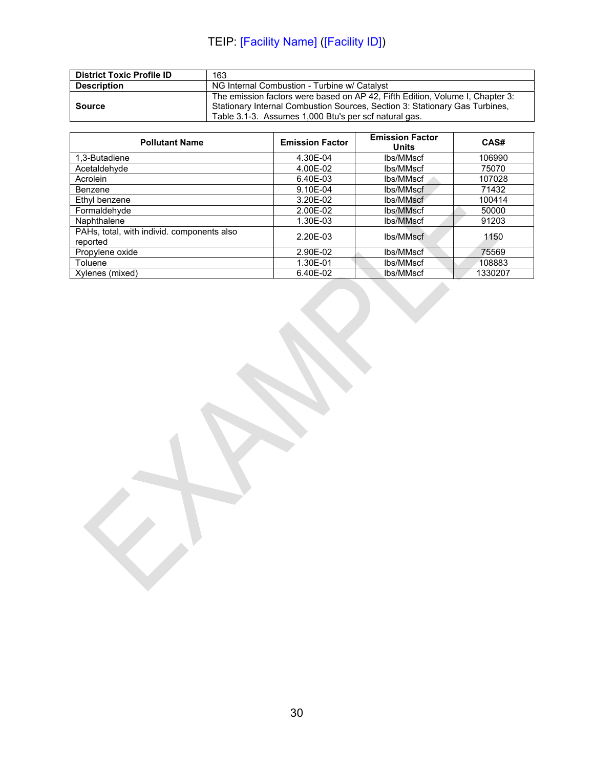| <b>District Toxic Profile ID</b> | 163                                                                                                                                                                                                                   |
|----------------------------------|-----------------------------------------------------------------------------------------------------------------------------------------------------------------------------------------------------------------------|
| <b>Description</b>               | NG Internal Combustion - Turbine w/ Catalyst                                                                                                                                                                          |
| <b>Source</b>                    | The emission factors were based on AP 42, Fifth Edition, Volume I, Chapter 3:<br>Stationary Internal Combustion Sources, Section 3: Stationary Gas Turbines,<br>Table 3.1-3. Assumes 1,000 Btu's per scf natural gas. |

| <b>Pollutant Name</b>                                  | <b>Emission Factor</b> | <b>Emission Factor</b><br>Units | CAS#    |
|--------------------------------------------------------|------------------------|---------------------------------|---------|
| 1,3-Butadiene                                          | 4.30E-04               | lbs/MMscf                       | 106990  |
| Acetaldehyde                                           | 4.00E-02               | lbs/MMscf                       | 75070   |
| Acrolein                                               | 6.40E-03               | lbs/MMscf                       | 107028  |
| Benzene                                                | 9.10E-04               | lbs/MMscf                       | 71432   |
| Ethyl benzene                                          | 3.20E-02               | lbs/MMscf                       | 100414  |
| Formaldehyde                                           | 2.00E-02               | lbs/MMscf                       | 50000   |
| Naphthalene                                            | 1.30E-03               | lbs/MMscf                       | 91203   |
| PAHs, total, with individ. components also<br>reported | 2.20E-03               | lbs/MMscf                       | 1150    |
| Propylene oxide                                        | 2.90E-02               | lbs/MMscf                       | 75569   |
| Toluene                                                | 1.30E-01               | lbs/MMscf                       | 108883  |
| Xylenes (mixed)                                        | 6.40E-02               | lbs/MMscf                       | 1330207 |